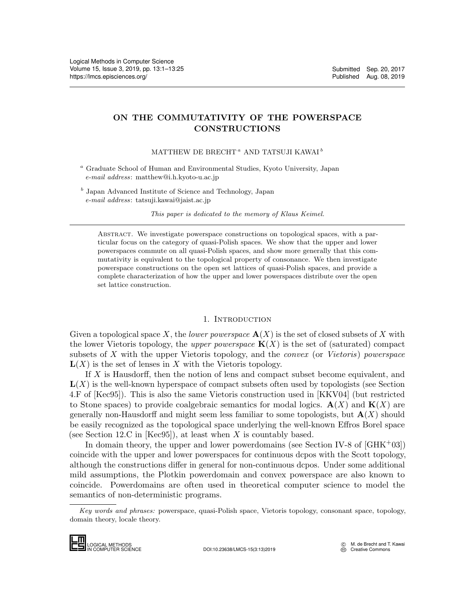# ON THE COMMUTATIVITY OF THE POWERSPACE CONSTRUCTIONS

## MATTHEW DE BRECHT<sup> $a$ </sup> AND TATSUJI KAWAI<sup> $b$ </sup>

- <sup>a</sup> Graduate School of Human and Environmental Studies, Kyoto University, Japan e-mail address: matthew@i.h.kyoto-u.ac.jp
- <sup>b</sup> Japan Advanced Institute of Science and Technology, Japan e-mail address: tatsuji.kawai@jaist.ac.jp

This paper is dedicated to the memory of Klaus Keimel.

Abstract. We investigate powerspace constructions on topological spaces, with a particular focus on the category of quasi-Polish spaces. We show that the upper and lower powerspaces commute on all quasi-Polish spaces, and show more generally that this commutativity is equivalent to the topological property of consonance. We then investigate powerspace constructions on the open set lattices of quasi-Polish spaces, and provide a complete characterization of how the upper and lower powerspaces distribute over the open set lattice construction.

## 1. INTRODUCTION

<span id="page-0-0"></span>Given a topological space X, the *lower powerspace*  $\mathbf{A}(X)$  is the set of closed subsets of X with the lower Vietoris topology, the upper powerspace  $K(X)$  is the set of (saturated) compact subsets of  $X$  with the upper Vietoris topology, and the *convex* (or *Vietoris*) powerspace  $L(X)$  is the set of lenses in X with the Vietoris topology.

If X is Hausdorff, then the notion of lens and compact subset become equivalent, and  $L(X)$  is the well-known hyperspace of compact subsets often used by topologists (see Section 4.F of [\[Kec95\]](#page-24-1)). This is also the same Vietoris construction used in [\[KKV04\]](#page-24-2) (but restricted to Stone spaces) to provide coalgebraic semantics for modal logics.  $\mathbf{A}(X)$  and  $\mathbf{K}(X)$  are generally non-Hausdorff and might seem less familiar to some topologists, but  $\mathbf{A}(X)$  should be easily recognized as the topological space underlying the well-known Effros Borel space (see Section 12.C in [\[Kec95\]](#page-24-1)), at least when  $X$  is countably based.

In domain theory, the upper and lower powerdomains (see Section IV-8 of  $[GHK^+03]$  $[GHK^+03]$ ) coincide with the upper and lower powerspaces for continuous dcpos with the Scott topology, although the constructions differ in general for non-continuous dcpos. Under some additional mild assumptions, the Plotkin powerdomain and convex powerspace are also known to coincide. Powerdomains are often used in theoretical computer science to model the semantics of non-deterministic programs. coincide with the<br>although the cons<br>mild assumption<br>coincide. Power<br>semantics of non-<br> $Key words and p$ <br>domain theory, local<br>**LOGICAL METHODS** 

Key words and phrases: powerspace, quasi-Polish space, Vietoris topology, consonant space, topology, domain theory, locale theory.

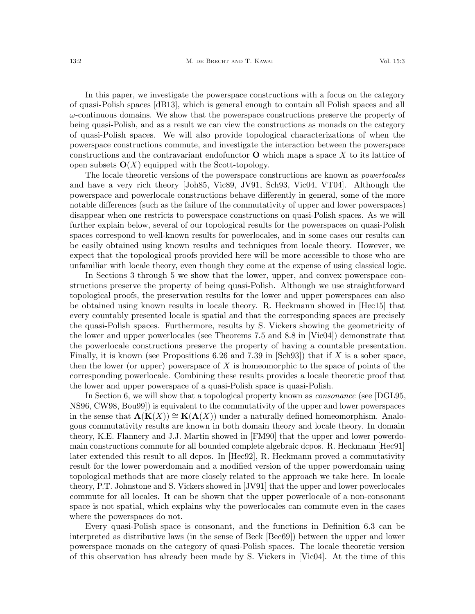In this paper, we investigate the powerspace constructions with a focus on the category of quasi-Polish spaces [\[dB13\]](#page-24-4), which is general enough to contain all Polish spaces and all  $\omega$ -continuous domains. We show that the powerspace constructions preserve the property of being quasi-Polish, and as a result we can view the constructions as monads on the category of quasi-Polish spaces. We will also provide topological characterizations of when the powerspace constructions commute, and investigate the interaction between the powerspace constructions and the contravariant endofunctor  $\bf{O}$  which maps a space X to its lattice of open subsets  $O(X)$  equipped with the Scott-topology.

The locale theoretic versions of the powerspace constructions are known as *powerlocales* and have a very rich theory [\[Joh85,](#page-24-5) [Vic89,](#page-24-6) [JV91,](#page-24-7) [Sch93,](#page-24-8) [Vic04,](#page-24-9) [VT04\]](#page-24-10). Although the powerspace and powerlocale constructions behave differently in general, some of the more notable differences (such as the failure of the commutativity of upper and lower powerspaces) disappear when one restricts to powerspace constructions on quasi-Polish spaces. As we will further explain below, several of our topological results for the powerspaces on quasi-Polish spaces correspond to well-known results for powerlocales, and in some cases our results can be easily obtained using known results and techniques from locale theory. However, we expect that the topological proofs provided here will be more accessible to those who are unfamiliar with locale theory, even though they come at the expense of using classical logic.

In Sections [3](#page-4-0) through [5](#page-8-0) we show that the lower, upper, and convex powerspace constructions preserve the property of being quasi-Polish. Although we use straightforward topological proofs, the preservation results for the lower and upper powerspaces can also be obtained using known results in locale theory. R. Heckmann showed in [\[Hec15\]](#page-24-11) that every countably presented locale is spatial and that the corresponding spaces are precisely the quasi-Polish spaces. Furthermore, results by S. Vickers showing the geometricity of the lower and upper powerlocales (see Theorems 7.5 and 8.8 in [\[Vic04\]](#page-24-9)) demonstrate that the powerlocale constructions preserve the property of having a countable presentation. Finally, it is known (see Propositions 6.26 and 7.39 in  $\lceil \text{Sch}93 \rceil$ ) that if X is a sober space, then the lower (or upper) powerspace of X is homeomorphic to the space of points of the corresponding powerlocale. Combining these results provides a locale theoretic proof that the lower and upper powerspace of a quasi-Polish space is quasi-Polish.

In Section [6,](#page-9-0) we will show that a topological property known as *consonance* (see [\[DGL95,](#page-24-12) [NS96,](#page-24-13) [CW98,](#page-24-14) [Bou99\]](#page-23-0)) is equivalent to the commutativity of the upper and lower powerspaces in the sense that  $\mathbf{A}(\mathbf{K}(X)) \cong \mathbf{K}(\mathbf{A}(X))$  under a naturally defined homeomorphism. Analogous commutativity results are known in both domain theory and locale theory. In domain theory, K.E. Flannery and J.J. Martin showed in [\[FM90\]](#page-24-15) that the upper and lower powerdomain constructions commute for all bounded complete algebraic dcpos. R. Heckmann [\[Hec91\]](#page-24-16) later extended this result to all dcpos. In [\[Hec92\]](#page-24-17), R. Heckmann proved a commutativity result for the lower powerdomain and a modified version of the upper powerdomain using topological methods that are more closely related to the approach we take here. In locale theory, P.T. Johnstone and S. Vickers showed in [\[JV91\]](#page-24-7) that the upper and lower powerlocales commute for all locales. It can be shown that the upper powerlocale of a non-consonant space is not spatial, which explains why the powerlocales can commute even in the cases where the powerspaces do not.

Every quasi-Polish space is consonant, and the functions in Definition [6.3](#page-10-0) can be interpreted as distributive laws (in the sense of Beck [\[Bec69\]](#page-23-1)) between the upper and lower powerspace monads on the category of quasi-Polish spaces. The locale theoretic version of this observation has already been made by S. Vickers in [\[Vic04\]](#page-24-9). At the time of this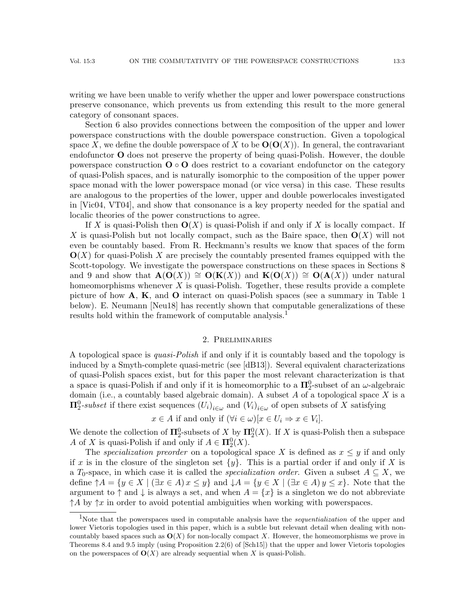writing we have been unable to verify whether the upper and lower powerspace constructions preserve consonance, which prevents us from extending this result to the more general category of consonant spaces.

Section [6](#page-9-0) also provides connections between the composition of the upper and lower powerspace constructions with the double powerspace construction. Given a topological space X, we define the double powerspace of X to be  $O(O(X))$ . In general, the contravariant endofunctor O does not preserve the property of being quasi-Polish. However, the double powerspace construction  $\mathbf{O} \circ \mathbf{O}$  does restrict to a covariant endofunctor on the category of quasi-Polish spaces, and is naturally isomorphic to the composition of the upper power space monad with the lower powerspace monad (or vice versa) in this case. These results are analogous to the properties of the lower, upper and double powerlocales investigated in [\[Vic04,](#page-24-9) [VT04\]](#page-24-10), and show that consonance is a key property needed for the spatial and localic theories of the power constructions to agree.

If X is quasi-Polish then  $O(X)$  is quasi-Polish if and only if X is locally compact. If X is quasi-Polish but not locally compact, such as the Baire space, then  $O(X)$  will not even be countably based. From R. Heckmann's results we know that spaces of the form  $O(X)$  for quasi-Polish X are precisely the countably presented frames equipped with the Scott-topology. We investigate the powerspace constructions on these spaces in Sections [8](#page-17-0) and [9](#page-20-0) and show that  $\mathbf{A}(\mathbf{O}(X)) \cong \mathbf{O}(\mathbf{K}(X))$  and  $\mathbf{K}(\mathbf{O}(X)) \cong \mathbf{O}(\mathbf{A}(X))$  under natural homeomorphisms whenever  $X$  is quasi-Polish. Together, these results provide a complete picture of how  $\mathbf{A}, \mathbf{K}$ , and  $\mathbf{O}$  interact on quasi-Polish spaces (see a summary in Table [1](#page-0-0)) below). E. Neumann [\[Neu18\]](#page-24-18) has recently shown that computable generalizations of these results hold within the framework of computable analysis.<sup>[1](#page-2-0)</sup>

#### 2. Preliminaries

A topological space is quasi-Polish if and only if it is countably based and the topology is induced by a Smyth-complete quasi-metric (see [\[dB13\]](#page-24-4)). Several equivalent characterizations of quasi-Polish spaces exist, but for this paper the most relevant characterization is that a space is quasi-Polish if and only if it is homeomorphic to a  $\Pi^0_2$ -subset of an  $\omega$ -algebraic domain (i.e., a countably based algebraic domain). A subset  $A$  of a topological space  $X$  is a  $\Pi^0_2$ -subset if there exist sequences  $(U_i)_{i \in \omega}$  and  $(V_i)_{i \in \omega}$  of open subsets of X satisfying

$$
x \in A
$$
 if and only if  $(\forall i \in \omega)[x \in U_i \Rightarrow x \in V_i].$ 

We denote the collection of  $\mathbf{\Pi}_{2}^{0}$ -subsets of  $X$  by  $\mathbf{\Pi}_{2}^{0}(X)$ . If X is quasi-Polish then a subspace A of X is quasi-Polish if and only if  $A \in \mathbf{\Pi}^0_2(X)$ .

The specialization preorder on a topological space X is defined as  $x \leq y$  if and only if x is in the closure of the singleton set  $\{y\}$ . This is a partial order if and only if X is a  $T_0$ -space, in which case it is called the *specialization order*. Given a subset  $A \subseteq X$ , we define  $\uparrow A = \{y \in X \mid (\exists x \in A) x \leq y\}$  and  $\downarrow A = \{y \in X \mid (\exists x \in A) y \leq x\}$ . Note that the argument to  $\uparrow$  and  $\downarrow$  is always a set, and when  $A = \{x\}$  is a singleton we do not abbreviate  $\uparrow A$  by  $\uparrow x$  in order to avoid potential ambiguities when working with powerspaces.

<span id="page-2-0"></span><sup>&</sup>lt;sup>1</sup>Note that the powerspaces used in computable analysis have the *sequentialization* of the upper and lower Vietoris topologies used in this paper, which is a subtle but relevant detail when dealing with noncountably based spaces such as  $O(X)$  for non-locally compact X. However, the homeomorphisms we prove in Theorems [8.4](#page-18-0) and [9.5](#page-21-0) imply (using Proposition 2.2(6) of [\[Sch15\]](#page-24-19)) that the upper and lower Vietoris topologies on the powerspaces of  $O(X)$  are already sequential when X is quasi-Polish.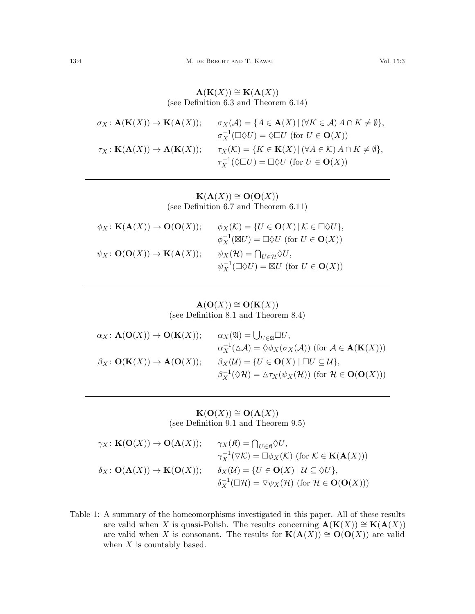$\mathbf{A}(\mathbf{K}(X)) \cong \mathbf{K}(\mathbf{A}(X))$ (see Definition [6.3](#page-10-0) and Theorem [6.14\)](#page-13-0)

| $\sigma_X: \mathbf{A}(\mathbf{K}(X)) \to \mathbf{K}(\mathbf{A}(X));$ | $\sigma_X(\mathcal{A}) = \{A \in \mathbf{A}(X) \mid (\forall K \in \mathcal{A}) A \cap K \neq \emptyset\},\$ |
|----------------------------------------------------------------------|--------------------------------------------------------------------------------------------------------------|
|                                                                      | $\sigma_X^{-1}(\Box \Diamond U) = \Diamond \Box U$ (for $U \in \mathbf{O}(X)$ )                              |
| $\tau_X: \mathbf K(\mathbf A(X)) \to \mathbf A(\mathbf K(X));$       | $\tau_X(\mathcal{K}) = \{ K \in \mathbf{K}(X) \mid (\forall A \in \mathcal{K}) A \cap K \neq \emptyset \},\$ |
|                                                                      | $\tau_X^{-1}(\Diamond \Box U) = \Box \Diamond U$ (for $U \in \mathbf{O}(X)$ )                                |

 ${\bf K}({\bf A}(X)) \cong {\bf O}({\bf O}(X))$ (see Definition [6.7](#page-11-0) and Theorem [6.11\)](#page-12-0)

| $\phi_X : \mathbf K(\mathbf A(X)) \to \mathbf O(\mathbf O(X));$          | $\phi_X(\mathcal{K}) = \{ U \in \mathbf{O}(X) \,   \, \mathcal{K} \in \square \lozenge U \},\$ |
|--------------------------------------------------------------------------|------------------------------------------------------------------------------------------------|
|                                                                          | $\phi_X^{-1}(\boxtimes U) = \square \lozenge U$ (for $U \in \mathbf{O}(X)$ )                   |
| $\psi_X \colon \mathbf{O}(\mathbf{O}(X)) \to \mathbf{K}(\mathbf{A}(X));$ | $\psi_X(\mathcal{H}) = \bigcap_{U \in \mathcal{H}} \Diamond U,$                                |
|                                                                          | $\psi_X^{-1}(\Box \Diamond U) = \boxtimes U$ (for $U \in \mathbf{O}(X)$ )                      |

 $\mathbf{A}(\mathbf{O}(X)) \cong \mathbf{O}(\mathbf{K}(X))$ (see Definition [8.1](#page-17-1) and Theorem [8.4\)](#page-18-0)

| $\alpha_X : \mathbf{A}(\mathbf{O}(X)) \to \mathbf{O}(\mathbf{K}(X));$ | $\alpha_X(\mathfrak{A}) = \bigcup_{U \in \mathfrak{A}} \Box U,$                                                                  |
|-----------------------------------------------------------------------|----------------------------------------------------------------------------------------------------------------------------------|
|                                                                       | $\alpha_X^{-1}(\Delta \mathcal{A}) = \Diamond \phi_X(\sigma_X(\mathcal{A}))$ (for $\mathcal{A} \in \mathbf{A}(\mathbf{K}(X)))$ ) |
| $\beta_X: \mathbf{O}(\mathbf{K}(X)) \to \mathbf{A}(\mathbf{O}(X));$   | $\beta_X(\mathcal{U}) = \{ U \in \mathbf{O}(X) \mid \Box U \subseteq \mathcal{U} \},\$                                           |
|                                                                       | $\beta_X^{-1}(\Diamond \mathcal{H}) = \Delta \tau_X(\psi_X(\mathcal{H}))$ (for $\mathcal{H} \in \mathbf{O}(\mathbf{O}(X)))$ )    |

 ${\bf K}({\bf O}(X))\cong {\bf O}({\bf A}(X))$ (see Definition [9.1](#page-20-1) and Theorem [9.5\)](#page-21-0)

| $\gamma_X: \mathbf{K}(\mathbf{O}(X)) \to \mathbf{O}(\mathbf{A}(X));$      | $\gamma_X(\mathfrak{K}) = \bigcap_{U \in \mathfrak{K}} \Diamond U,$                                                          |
|---------------------------------------------------------------------------|------------------------------------------------------------------------------------------------------------------------------|
|                                                                           | $\gamma_X^{-1}(\triangledown \mathcal{K}) = \square \phi_X(\mathcal{K})$ (for $\mathcal{K} \in \mathbf{K}(\mathbf{A}(X)))$ ) |
| $\delta_X\colon \mathbf{O}(\mathbf{A}(X)) \to \mathbf{K}(\mathbf{O}(X));$ | $\delta_X(\mathcal{U}) = \{ U \in \mathbf{O}(X) \mid \mathcal{U} \subseteq \Diamond U \},\$                                  |
|                                                                           | $\delta_X^{-1}(\Box \mathcal{H}) = \nabla \psi_X(\mathcal{H})$ (for $\mathcal{H} \in \mathbf{O}(\mathbf{O}(X)))$ )           |

Table 1: A summary of the homeomorphisms investigated in this paper. All of these results are valid when X is quasi-Polish. The results concerning  $\mathbf{A}(\mathbf{K}(X)) \cong \mathbf{K}(\mathbf{A}(X))$ are valid when X is consonant. The results for  $\mathbf{K}(\mathbf{A}(X)) \cong \mathbf{O}(\mathbf{O}(X))$  are valid when  $X$  is countably based.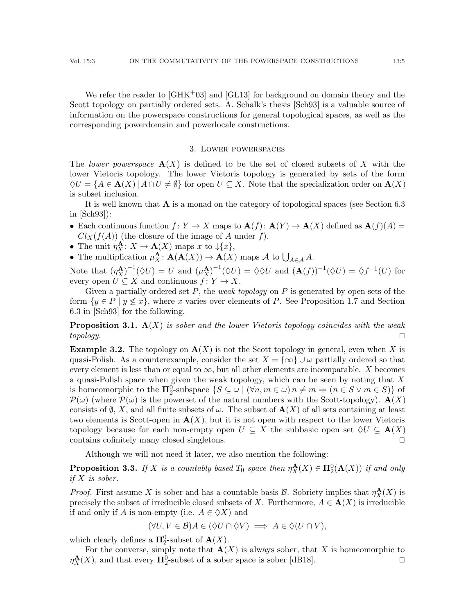We refer the reader to  $\left[\text{GHK}^{+}03\right]$  and  $\left[\text{GL}13\right]$  for background on domain theory and the Scott topology on partially ordered sets. A. Schalk's thesis [\[Sch93\]](#page-24-8) is a valuable source of information on the powerspace constructions for general topological spaces, as well as the corresponding powerdomain and powerlocale constructions.

### 3. Lower powerspaces

<span id="page-4-0"></span>The lower powerspace  $\mathbf{A}(X)$  is defined to be the set of closed subsets of X with the lower Vietoris topology. The lower Vietoris topology is generated by sets of the form  $\Diamond U = \{A \in \mathbf{A}(X) \mid A \cap U \neq \emptyset\}$  for open  $U \subseteq X$ . Note that the specialization order on  $\mathbf{A}(X)$ is subset inclusion.

It is well known that  $\bf{A}$  is a monad on the category of topological spaces (see Section 6.3) in [\[Sch93\]](#page-24-8)):

- Each continuous function  $f: Y \to X$  maps to  $\mathbf{A}(f): \mathbf{A}(Y) \to \mathbf{A}(X)$  defined as  $\mathbf{A}(f)(A) =$  $Cl<sub>X</sub>(f(A))$  (the closure of the image of A under f),
- The unit  $\eta_X^{\mathbf{A}}: X \to \mathbf{A}(X)$  maps x to  $\downarrow \{x\},$
- The multiplication  $\mu_X^{\mathbf{A}}: \mathbf{A}(\mathbf{A}(X)) \to \mathbf{A}(X)$  maps A to  $\bigcup_{A \in \mathcal{A}} A$ .

Note that  $(\eta_X^{\mathbf{A}})^{-1}(\Diamond U) = U$  and  $(\mu_X^{\mathbf{A}})^{-1}(\Diamond U) = \Diamond \Diamond U$  and  $(\mathbf{A}(f))^{-1}(\Diamond U) = \Diamond f^{-1}(U)$  for every open  $U \subseteq X$  and continuous  $f: Y \to X$ .

Given a partially ordered set  $P$ , the *weak topology* on  $P$  is generated by open sets of the form  $\{y \in P \mid y \nleq x\}$ , where x varies over elements of P. See Proposition 1.7 and Section 6.3 in [\[Sch93\]](#page-24-8) for the following.

<span id="page-4-2"></span>**Proposition 3.1.**  $\mathbf{A}(X)$  is sober and the lower Vietoris topology coincides with the weak  $topology.$ 

<span id="page-4-1"></span>**Example 3.2.** The topology on  $\mathbf{A}(X)$  is not the Scott topology in general, even when X is quasi-Polish. As a counterexample, consider the set  $X = \{\infty\} \cup \omega$  partially ordered so that every element is less than or equal to  $\infty$ , but all other elements are incomparable. X becomes a quasi-Polish space when given the weak topology, which can be seen by noting that X is homeomorphic to the  $\Pi_2^0$ -subspace  $\{S \subseteq \omega \mid (\forall n, m \in \omega) \mid n \neq m \Rightarrow (n \in S \lor m \in S) \}$  of  $\mathcal{P}(\omega)$  (where  $\mathcal{P}(\omega)$  is the powerset of the natural numbers with the Scott-topology).  $\mathbf{A}(X)$ consists of  $\emptyset$ , X, and all finite subsets of  $\omega$ . The subset of  $\mathbf{A}(X)$  of all sets containing at least two elements is Scott-open in  $\mathbf{A}(X)$ , but it is not open with respect to the lower Vietoris topology because for each non-empty open  $U \subseteq X$  the subbasic open set  $\Diamond U \subseteq \mathbf{A}(X)$ contains cofinitely many closed singletons.  $\Box$ 

Although we will not need it later, we also mention the following:

**Proposition 3.3.** If X is a countably based  $T_0$ -space then  $\eta^{\mathbf{A}}_X(X) \in \mathbf{\Pi}^0_2(\mathbf{A}(X))$  if and only if X is sober.

*Proof.* First assume X is sober and has a countable basis  $\mathcal{B}$ . Sobriety implies that  $\eta_X^{\mathbf{A}}(X)$  is precisely the subset of irreducible closed subsets of X. Furthermore,  $A \in \mathbf{A}(X)$  is irreducible if and only if A is non-empty (i.e.  $A \in \Diamond X$ ) and

$$
(\forall U, V \in \mathcal{B}) A \in (\Diamond U \cap \Diamond V) \implies A \in \Diamond (U \cap V),
$$

which clearly defines a  $\Pi_2^0$ -subset of  $\mathbf{A}(X)$ .

For the converse, simply note that  $\mathbf{A}(X)$  is always sober, that X is homeomorphic to  $\eta_X^{\mathbf{A}}(X)$ , and that every  $\Pi_2^0$ -subset of a sober space is sober [\[dB18\]](#page-24-21).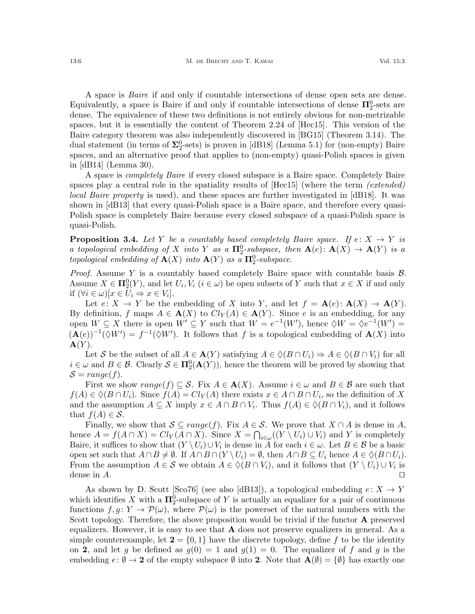A space is Baire if and only if countable intersections of dense open sets are dense. Equivalently, a space is Baire if and only if countable intersections of dense  $\Pi_2^0$ -sets are dense. The equivalence of these two definitions is not entirely obvious for non-metrizable spaces, but it is essentially the content of Theorem 2.24 of [\[Hec15\]](#page-24-11). This version of the Baire category theorem was also independently discovered in [\[BG15\]](#page-23-2) (Theorem 3.14). The dual statement (in terms of  $\Sigma_2^0$ -sets) is proven in [\[dB18\]](#page-24-21) (Lemma 5.1) for (non-empty) Baire spaces, and an alternative proof that applies to (non-empty) quasi-Polish spaces is given in [\[dB14\]](#page-24-22) (Lemma 30).

A space is completely Baire if every closed subspace is a Baire space. Completely Baire spaces play a central role in the spatiality results of  $[Hec15]$  (where the term *(extended)* local Baire property is used), and these spaces are further investigated in [\[dB18\]](#page-24-21). It was shown in [\[dB13\]](#page-24-4) that every quasi-Polish space is a Baire space, and therefore every quasi-Polish space is completely Baire because every closed subspace of a quasi-Polish space is quasi-Polish.

<span id="page-5-0"></span>**Proposition 3.4.** Let Y be a countably based completely Baire space. If  $e: X \to Y$  is a topological embedding of X into Y as a  $\Pi_2^0$ -subspace, then  $\mathbf{A}(e)$ :  $\mathbf{A}(X) \to \mathbf{A}(Y)$  is a topological embedding of  $\mathbf{A}(X)$  into  $\mathbf{A}(Y)$  as a  $\overline{\mathbf{\Pi}_{2}^{0}}$ -subspace.

*Proof.* Assume Y is a countably based completely Baire space with countable basis  $\mathcal{B}$ . Assume  $X \in \Pi_2^0(Y)$ , and let  $U_i, V_i$   $(i \in \omega)$  be open subsets of Y such that  $x \in X$  if and only if  $(\forall i \in \omega)[x \in U_i \Rightarrow x \in V_i].$ 

Let  $e: X \to Y$  be the embedding of X into Y, and let  $f = A(e): A(X) \to A(Y)$ . By definition, f maps  $A \in \mathbf{A}(X)$  to  $Cl_Y(A) \in \mathbf{A}(Y)$ . Since e is an embedding, for any open  $W \subseteq X$  there is open  $W' \subseteq Y$  such that  $W = e^{-1}(W')$ , hence  $\Diamond W = \Diamond e^{-1}(W') =$  $(\mathbf{A}(e))^{-1}(\Diamond W') = f^{-1}(\Diamond W')$ . It follows that f is a topological embedding of  $\mathbf{A}(X)$  into  $\mathbf{A}(Y)$ .

Let S be the subset of all  $A \in \mathbf{A}(Y)$  satisfying  $A \in \Diamond (B \cap U_i) \Rightarrow A \in \Diamond (B \cap V_i)$  for all  $i \in \omega$  and  $B \in \mathcal{B}$ . Clearly  $\mathcal{S} \in \Pi_2^0(\mathbf{A}(Y))$ , hence the theorem will be proved by showing that  $S = range(f).$ 

First we show  $range(f) \subseteq \mathcal{S}$ . Fix  $A \in \mathbf{A}(X)$ . Assume  $i \in \omega$  and  $B \in \mathcal{B}$  are such that  $f(A) \in \Diamond (B \cap U_i)$ . Since  $f(A) = Cl_Y(A)$  there exists  $x \in A \cap B \cap U_i$ , so the definition of X and the assumption  $A \subseteq X$  imply  $x \in A \cap B \cap V_i$ . Thus  $f(A) \in \Diamond (B \cap V_i)$ , and it follows that  $f(A) \in \mathcal{S}$ .

Finally, we show that  $S \subseteq range(f)$ . Fix  $A \in S$ . We prove that  $X \cap A$  is dense in A, hence  $A = f(A \cap X) = Cl<sub>Y</sub>(A \cap X)$ . Since  $X = \bigcap_{i \in \omega} ((Y \setminus U_i) \cup V_i)$  and Y is completely Baire, it suffices to show that  $(Y \setminus U_i) \cup V_i$  is dense in A for each  $i \in \omega$ . Let  $B \in \mathcal{B}$  be a basic open set such that  $A \cap B \neq \emptyset$ . If  $A \cap B \cap (Y \setminus U_i) = \emptyset$ , then  $A \cap B \subseteq U_i$  hence  $A \in \Diamond (B \cap U_i)$ . From the assumption  $A \in \mathcal{S}$  we obtain  $A \in \Diamond (B \cap V_i)$ , and it follows that  $(Y \setminus U_i) \cup V_i$  is dense in  $A$ .

As shown by D. Scott [\[Sco76\]](#page-24-23) (see also [\[dB13\]](#page-24-4)), a topological embedding  $e: X \to Y$ which identifies X with a  $\Pi^0$ -subspace of Y is actually an equalizer for a pair of continuous functions  $f, g: Y \to \mathcal{P}(\omega)$ , where  $\mathcal{P}(\omega)$  is the powerset of the natural numbers with the Scott topology. Therefore, the above proposition would be trivial if the functor **A** preserved equalizers. However, it is easy to see that  $A$  does not preserve equalizers in general. As a simple counterexample, let  $2 = \{0, 1\}$  have the discrete topology, define f to be the identity on 2, and let g be defined as  $g(0) = 1$  and  $g(1) = 0$ . The equalizer of f and g is the embedding  $e: \emptyset \to \mathbf{2}$  of the empty subspace  $\emptyset$  into  $\mathbf{2}$ . Note that  $\mathbf{A}(\emptyset) = \{\emptyset\}$  has exactly one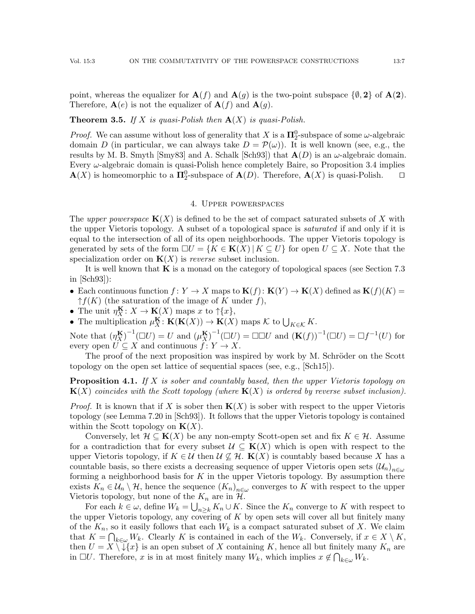point, whereas the equalizer for  $A(f)$  and  $A(g)$  is the two-point subspace  $\{\emptyset, 2\}$  of  $A(2)$ . Therefore,  $\mathbf{A}(e)$  is not the equalizer of  $\mathbf{A}(f)$  and  $\mathbf{A}(g)$ .

#### <span id="page-6-0"></span>**Theorem 3.5.** If X is quasi-Polish then  $A(X)$  is quasi-Polish.

*Proof.* We can assume without loss of generality that X is a  $\Pi_2^0$ -subspace of some  $\omega$ -algebraic domain D (in particular, we can always take  $D = \mathcal{P}(\omega)$ ). It is well known (see, e.g., the results by M. B. Smyth [\[Smy83\]](#page-24-24) and A. Schalk [\[Sch93\]](#page-24-8)) that  $A(D)$  is an  $\omega$ -algebraic domain. Every  $\omega$ -algebraic domain is quasi-Polish hence completely Baire, so Proposition [3.4](#page-5-0) implies  $\mathbf{A}(X)$  is homeomorphic to a  $\mathbf{\Pi}_2^0$ -subspace of  $\mathbf{A}(D)$ . Therefore,  $\mathbf{A}(X)$  is quasi-Polish.  $\square$ 

#### 4. Upper powerspaces

The upper powerspace  $K(X)$  is defined to be the set of compact saturated subsets of X with the upper Vietoris topology. A subset of a topological space is *saturated* if and only if it is equal to the intersection of all of its open neighborhoods. The upper Vietoris topology is generated by sets of the form  $\Box U = \{K \in \mathbf{K}(X) | K \subseteq U\}$  for open  $U \subseteq X$ . Note that the specialization order on  $K(X)$  is *reverse* subset inclusion.

It is well known that  $\bf{K}$  is a monad on the category of topological spaces (see Section 7.3) in [\[Sch93\]](#page-24-8)):

- Each continuous function  $f: Y \to X$  maps to  $\mathbf{K}(f): \mathbf{K}(Y) \to \mathbf{K}(X)$  defined as  $\mathbf{K}(f)(K) =$  $\uparrow f(K)$  (the saturation of the image of K under f),
- The unit  $\eta_X^{\mathbf{K}}: X \to \mathbf{K}(X)$  maps x to  $\uparrow \{x\},\$
- The multiplication  $\mu_X^{\mathbf{K}}: \mathbf{K}(\mathbf{K}(X)) \to \mathbf{K}(X)$  maps K to  $\bigcup_{K \in \mathcal{K}} K$ .

Note that  $(\eta_{X}^{K})^{-1}(\Box U) = U$  and  $(\mu_{X}^{K})^{-1}(\Box U) = \Box \Box U$  and  $(\mathbf{K}(f))^{-1}(\Box U) = \Box f^{-1}(U)$  for every open  $U \subseteq X$  and continuous  $f: Y \to X$ .

The proof of the next proposition was inspired by work by M. Schröder on the Scott topology on the open set lattice of sequential spaces (see, e.g., [\[Sch15\]](#page-24-19)).

<span id="page-6-1"></span>**Proposition 4.1.** If X is sober and countably based, then the upper Vietoris topology on  ${\bf K}(X)$  coincides with the Scott topology (where  ${\bf K}(X)$  is ordered by reverse subset inclusion).

*Proof.* It is known that if X is sober then  $K(X)$  is sober with respect to the upper Vietoris topology (see Lemma 7.20 in [\[Sch93\]](#page-24-8)). It follows that the upper Vietoris topology is contained within the Scott topology on  $K(X)$ .

Conversely, let  $\mathcal{H} \subseteq \mathbf{K}(X)$  be any non-empty Scott-open set and fix  $K \in \mathcal{H}$ . Assume for a contradiction that for every subset  $\mathcal{U} \subseteq \mathbf{K}(X)$  which is open with respect to the upper Vietoris topology, if  $K \in \mathcal{U}$  then  $\mathcal{U} \nsubseteq \mathcal{H}$ .  $\mathbf{K}(X)$  is countably based because X has a countable basis, so there exists a decreasing sequence of upper Vietoris open sets  $(\mathcal{U}_n)_{n\in\omega}$ forming a neighborhood basis for  $K$  in the upper Vietoris topology. By assumption there exists  $K_n \in \mathcal{U}_n \setminus \mathcal{H}$ , hence the sequence  $(K_n)_{n \in \omega}$  converges to K with respect to the upper Vietoris topology, but none of the  $K_n$  are in  $\mathcal{H}$ .

For each  $k \in \omega$ , define  $W_k = \bigcup_{n \geq k} K_n \cup K$ . Since the  $K_n$  converge to K with respect to the upper Vietoris topology, any covering of  $K$  by open sets will cover all but finitely many of the  $K_n$ , so it easily follows that each  $W_k$  is a compact saturated subset of X. We claim that  $K = \bigcap_{k \in \omega} W_k$ . Clearly K is contained in each of the  $W_k$ . Conversely, if  $x \in X \setminus K$ , then  $U = X \setminus \{x\}$  is an open subset of X containing K, hence all but finitely many  $K_n$  are in  $\Box U$ . Therefore, x is in at most finitely many  $W_k$ , which implies  $x \notin \bigcap_{k\in\omega} W_k$ .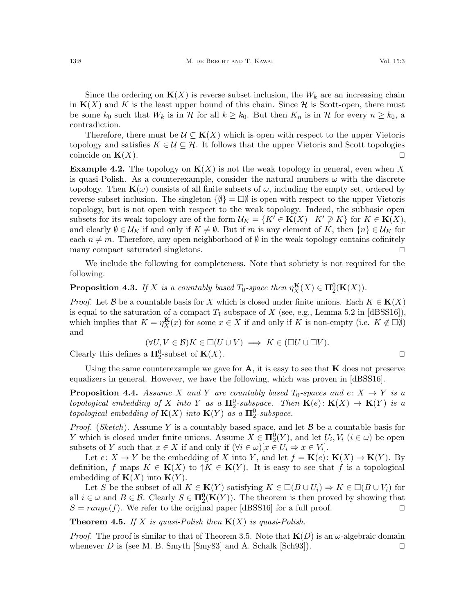Since the ordering on  $K(X)$  is reverse subset inclusion, the  $W_k$  are an increasing chain in  $K(X)$  and K is the least upper bound of this chain. Since H is Scott-open, there must be some  $k_0$  such that  $W_k$  is in  $\mathcal H$  for all  $k \geq k_0$ . But then  $K_n$  is in  $\mathcal H$  for every  $n \geq k_0$ , a contradiction.

Therefore, there must be  $\mathcal{U} \subseteq \mathbf{K}(X)$  which is open with respect to the upper Vietoris topology and satisfies  $K \in \mathcal{U} \subseteq \mathcal{H}$ . It follows that the upper Vietoris and Scott topologies coincide on  $\mathbf{K}(X)$ .

**Example 4.2.** The topology on  $K(X)$  is not the weak topology in general, even when X is quasi-Polish. As a counterexample, consider the natural numbers  $\omega$  with the discrete topology. Then  $\mathbf{K}(\omega)$  consists of all finite subsets of  $\omega$ , including the empty set, ordered by reverse subset inclusion. The singleton  $\{\emptyset\} = \Box \emptyset$  is open with respect to the upper Vietoris topology, but is not open with respect to the weak topology. Indeed, the subbasic open subsets for its weak topology are of the form  $\mathcal{U}_K = \{K' \in \mathbf{K}(X) \mid K' \not\supseteq K\}$  for  $K \in \mathbf{K}(X)$ , and clearly  $\emptyset \in \mathcal{U}_K$  if and only if  $K \neq \emptyset$ . But if m is any element of K, then  $\{n\} \in \mathcal{U}_K$  for each  $n \neq m$ . Therefore, any open neighborhood of  $\emptyset$  in the weak topology contains cofinitely many compact saturated singletons.  $\Box$ 

We include the following for completeness. Note that sobriety is not required for the following.

**Proposition 4.3.** If X is a countably based  $T_0$ -space then  $\eta_X^{\mathbf{K}}(X) \in \Pi_2^0(\mathbf{K}(X))$ .

*Proof.* Let B be a countable basis for X which is closed under finite unions. Each  $K \in K(X)$ is equal to the saturation of a compact  $T_1$ -subspace of X (see, e.g., Lemma 5.2 in [\[dBSS16\]](#page-24-25)), which implies that  $K = \eta_X^{\mathbf{K}}(x)$  for some  $x \in X$  if and only if K is non-empty (i.e.  $K \notin \Box \emptyset$ ) and

$$
(\forall U, V \in \mathcal{B}) K \in \Box(U \cup V) \implies K \in (\Box U \cup \Box V).
$$

Clearly this defines a  $\Pi_2^0$ -subset of  $\mathbf{K}(X)$ .

Using the same counterexample we gave for  $A$ , it is easy to see that  $K$  does not preserve equalizers in general. However, we have the following, which was proven in [\[dBSS16\]](#page-24-25).

**Proposition 4.4.** Assume X and Y are countably based  $T_0$ -spaces and  $e: X \rightarrow Y$  is a topological embedding of X into Y as a  $\Pi_2^0$ -subspace. Then  $\mathbf{K}(e) \colon \mathbf{K}(X) \to \mathbf{K}(Y)$  is a topological embedding of  ${\bf K}(X)$  into  ${\bf K}(Y)$  as a  ${\bf \Pi}^0_2$ -subspace.

*Proof.* (*Sketch*). Assume Y is a countably based space, and let  $\beta$  be a countable basis for Y which is closed under finite unions. Assume  $X \in \mathbf{\Pi}^0_2(Y)$ , and let  $U_i, V_i$   $(i \in \omega)$  be open subsets of Y such that  $x \in X$  if and only if  $(\forall i \in \omega)[x \in U_i \Rightarrow x \in V_i].$ 

Let  $e: X \to Y$  be the embedding of X into Y, and let  $f = \mathbf{K}(e): \mathbf{K}(X) \to \mathbf{K}(Y)$ . By definition, f maps  $K \in \mathbf{K}(X)$  to  $\uparrow K \in \mathbf{K}(Y)$ . It is easy to see that f is a topological embedding of  $\mathbf{K}(X)$  into  $\mathbf{K}(Y)$ .

Let S be the subset of all  $K \in K(Y)$  satisfying  $K \in \Box(B \cup U_i) \Rightarrow K \in \Box(B \cup V_i)$  for all  $i \in \omega$  and  $B \in \mathcal{B}$ . Clearly  $S \in \mathbf{\Pi}^0_2(\mathbf{K}(Y))$ . The theorem is then proved by showing that  $S = range(f)$ . We refer to the original paper [\[dBSS16\]](#page-24-25) for a full proof.

<span id="page-7-0"></span>**Theorem 4.5.** If X is quasi-Polish then  $K(X)$  is quasi-Polish.

*Proof.* The proof is similar to that of Theorem [3.5.](#page-6-0) Note that  $\mathbf{K}(D)$  is an  $\omega$ -algebraic domain whenever D is (see M. B. Smyth [\[Smy83\]](#page-24-24) and A. Schalk [\[Sch93\]](#page-24-8)).  $\Box$ 

$$
\Box
$$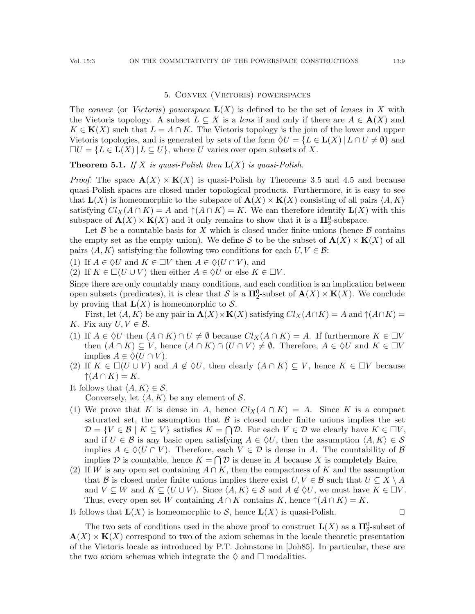## 5. Convex (Vietoris) powerspaces

<span id="page-8-0"></span>The convex (or Vietoris) powerspace  $L(X)$  is defined to be the set of lenses in X with the Vietoris topology. A subset  $L \subseteq X$  is a lens if and only if there are  $A \in \mathbf{A}(X)$  and  $K \in K(X)$  such that  $L = A \cap K$ . The Vietoris topology is the join of the lower and upper Vietoris topologies, and is generated by sets of the form  $\Diamond U = \{L \in \mathbf{L}(X) | L \cap U \neq \emptyset\}$  and  $\Box U = \{L \in \mathbf{L}(X) | L \subseteq U\}$ , where U varies over open subsets of X.

**Theorem 5.1.** If X is quasi-Polish then  $L(X)$  is quasi-Polish.

*Proof.* The space  $\mathbf{A}(X) \times \mathbf{K}(X)$  is quasi-Polish by Theorems [3.5](#page-6-0) and [4.5](#page-7-0) and because quasi-Polish spaces are closed under topological products. Furthermore, it is easy to see that  $\mathbf{L}(X)$  is homeomorphic to the subspace of  $\mathbf{A}(X) \times \mathbf{K}(X)$  consisting of all pairs  $\langle A, K \rangle$ satisfying  $Cl_X(A \cap K) = A$  and  $\uparrow(A \cap K) = K$ . We can therefore identify  $\mathbf{L}(X)$  with this subspace of  $\mathbf{A}(X) \times \mathbf{K}(X)$  and it only remains to show that it is a  $\mathbf{\Pi}^0_2$ -subspace.

Let  $\beta$  be a countable basis for X which is closed under finite unions (hence  $\beta$  contains the empty set as the empty union). We define S to be the subset of  $\mathbf{A}(X) \times \mathbf{K}(X)$  of all pairs  $\langle A, K \rangle$  satisfying the following two conditions for each  $U, V \in \mathcal{B}$ :

- (1) If  $A \in \Diamond U$  and  $K \in \Box V$  then  $A \in \Diamond (U \cap V)$ , and
- (2) If  $K \in \Box(U \cup V)$  then either  $A \in \Diamond U$  or else  $K \in \Box V$ .

Since there are only countably many conditions, and each condition is an implication between open subsets (predicates), it is clear that S is a  $\Pi_2^0$ -subset of  $\mathbf{A}(X) \times \mathbf{K}(X)$ . We conclude by proving that  $\mathbf{L}(X)$  is homeomorphic to S.

First, let  $\langle A, K \rangle$  be any pair in  $\mathbf{A}(X) \times \mathbf{K}(X)$  satisfying  $Cl_X(A \cap K) = A$  and  $\uparrow (A \cap K) = \mathbf{K}$ K. Fix any  $U, V \in \mathcal{B}$ .

- (1) If  $A \in \Diamond U$  then  $(A \cap K) \cap U \neq \emptyset$  because  $Cl_X(A \cap K) = A$ . If furthermore  $K \in \Box V$ then  $(A \cap K) \subseteq V$ , hence  $(A \cap K) \cap (U \cap V) \neq \emptyset$ . Therefore,  $A \in \Diamond U$  and  $K \in \Box V$ implies  $A \in \Diamond(U \cap V)$ .
- (2) If  $K \in \Box(U \cup V)$  and  $A \notin \Diamond U$ , then clearly  $(A \cap K) \subseteq V$ , hence  $K \in \Box V$  because  $\uparrow(A \cap K) = K.$
- It follows that  $\langle A, K \rangle \in \mathcal{S}$ .

Conversely, let  $\langle A, K \rangle$  be any element of S.

- (1) We prove that K is dense in A, hence  $Cl_X(A \cap K) = A$ . Since K is a compact saturated set, the assumption that  $\beta$  is closed under finite unions implies the set  $\mathcal{D} = \{V \in \mathcal{B} \mid K \subseteq V\}$  satisfies  $K = \bigcap \mathcal{D}$ . For each  $V \in \mathcal{D}$  we clearly have  $K \in \Box V$ , and if  $U \in \mathcal{B}$  is any basic open satisfying  $A \in \Diamond U$ , then the assumption  $\langle A, K \rangle \in \mathcal{S}$ implies  $A \in \Diamond(U \cap V)$ . Therefore, each  $V \in \mathcal{D}$  is dense in A. The countability of  $\mathcal{B}$ implies D is countable, hence  $K = \bigcap \mathcal{D}$  is dense in A because X is completely Baire.
- (2) If W is any open set containing  $A \cap K$ , then the compactness of K and the assumption that B is closed under finite unions implies there exist  $U, V \in \mathcal{B}$  such that  $U \subseteq X \setminus A$ and  $V \subseteq W$  and  $K \subseteq (U \cup V)$ . Since  $\langle A, K \rangle \in S$  and  $A \notin \Diamond U$ , we must have  $K \in \Box V$ . Thus, every open set W containing  $A \cap K$  contains K, hence  $\uparrow (A \cap K) = K$ .

It follows that  $\mathbf{L}(X)$  is homeomorphic to S, hence  $\mathbf{L}(X)$  is quasi-Polish.

The two sets of conditions used in the above proof to construct  $\mathbf{L}(X)$  as a  $\mathbf{\Pi}^0_2$ -subset of  $\mathbf{A}(X) \times \mathbf{K}(X)$  correspond to two of the axiom schemas in the locale theoretic presentation of the Vietoris locale as introduced by P.T. Johnstone in [\[Joh85\]](#page-24-5). In particular, these are the two axiom schemas which integrate the  $\Diamond$  and  $\Box$  modalities.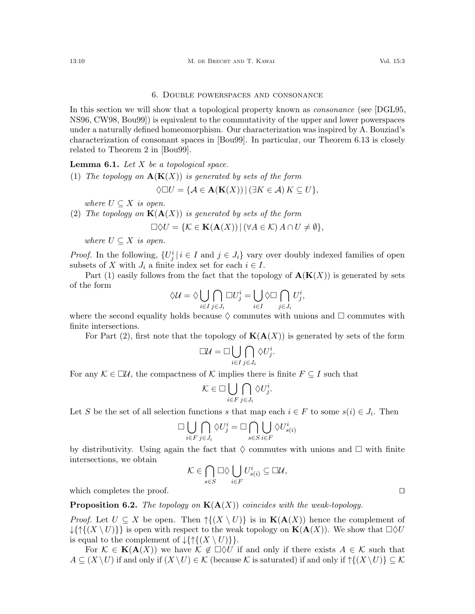## 6. Double powerspaces and consonance

<span id="page-9-0"></span>In this section we will show that a topological property known as *consonance* (see [\[DGL95,](#page-24-12) [NS96,](#page-24-13) [CW98,](#page-24-14) [Bou99\]](#page-23-0)) is equivalent to the commutativity of the upper and lower powerspaces under a naturally defined homeomorphism. Our characterization was inspired by A. Bouziad's characterization of consonant spaces in [\[Bou99\]](#page-23-0). In particular, our Theorem [6.13](#page-12-1) is closely related to Theorem 2 in [\[Bou99\]](#page-23-0).

<span id="page-9-3"></span>**Lemma 6.1.** Let  $X$  be a topological space.

<span id="page-9-1"></span>(1) The topology on  $\mathbf{A}(\mathbf{K}(X))$  is generated by sets of the form

$$
\Diamond \Box U = \{ \mathcal{A} \in \mathbf{A}(\mathbf{K}(X)) \mid (\exists K \in \mathcal{A}) \, K \subseteq U \},
$$

where  $U \subseteq X$  is open.

<span id="page-9-2"></span>(2) The topology on  $K(A(X))$  is generated by sets of the form

 $\Box \Diamond U = \{ \mathcal{K} \in \mathbf{K}(\mathbf{A}(X)) \mid (\forall A \in \mathcal{K}) A \cap U \neq \emptyset \},\$ 

where  $U \subseteq X$  is open.

*Proof.* In the following,  $\{U_j^i | i \in I \text{ and } j \in J_i\}$  vary over doubly indexed families of open subsets of X with  $J_i$  a finite index set for each  $i \in I$ .

Part [\(1\)](#page-9-1) easily follows from the fact that the topology of  $\mathbf{A}(\mathbf{K}(X))$  is generated by sets of the form

$$
\Diamond \mathcal{U} = \Diamond \bigcup_{i \in I} \bigcap_{j \in J_i} \Box U^i_j = \bigcup_{i \in I} \Diamond \Box \bigcap_{j \in J_i} U^i_j,
$$

where the second equality holds because  $\Diamond$  commutes with unions and  $\Box$  commutes with finite intersections.

For Part [\(2\)](#page-9-2), first note that the topology of  $K(A(X))$  is generated by sets of the form

$$
\Box \mathcal{U} = \Box \bigcup_{i \in I} \bigcap_{j \in J_i} \Diamond U^i_j.
$$

For any  $\mathcal{K} \in \Box \mathcal{U}$ , the compactness of K implies there is finite  $F \subseteq I$  such that

$$
\mathcal{K} \in \Box \bigcup_{i \in F} \bigcap_{j \in J_i} \Diamond U_j^i.
$$

Let S be the set of all selection functions s that map each  $i \in F$  to some  $s(i) \in J_i$ . Then

$$
\Box \bigcup_{i \in F} \bigcap_{j \in J_i} \Diamond U_j^i = \Box \bigcap_{s \in S} \bigcup_{i \in F} \Diamond U_{s(i)}^i
$$

by distributivity. Using again the fact that  $\Diamond$  commutes with unions and  $\Box$  with finite intersections, we obtain

$$
\mathcal{K} \in \bigcap_{s \in S} \Box \Diamond \bigcup_{i \in F} U_{s(i)}^i \subseteq \Box \mathcal{U},
$$

which completes the proof.  $\Box$ 

**Proposition 6.2.** The topology on  $K(A(X))$  coincides with the weak-topology.

*Proof.* Let  $U \subseteq X$  be open. Then  $\uparrow \{(X \setminus U)\}\$ is in  $\mathbf{K}(\mathbf{A}(X))$  hence the complement of  $\{\uparrow\{\uparrow\{(X \setminus U)\}\}\}\$ is open with respect to the weak topology on  $\mathbf{K}(\mathbf{A}(X))$ . We show that  $\Box \Diamond U$ is equal to the complement of  $\{\{\uparrow\}(X \setminus U)\}\$ .

For  $\mathcal{K} \in \mathbf{K}(\mathbf{A}(X))$  we have  $\mathcal{K} \notin \Box \Diamond U$  if and only if there exists  $A \in \mathcal{K}$  such that  $A \subseteq (X \setminus U)$  if and only if  $(X \setminus U) \in \mathcal{K}$  (because K is saturated) if and only if  $\mathcal{H}(X \setminus U) \subseteq \mathcal{K}$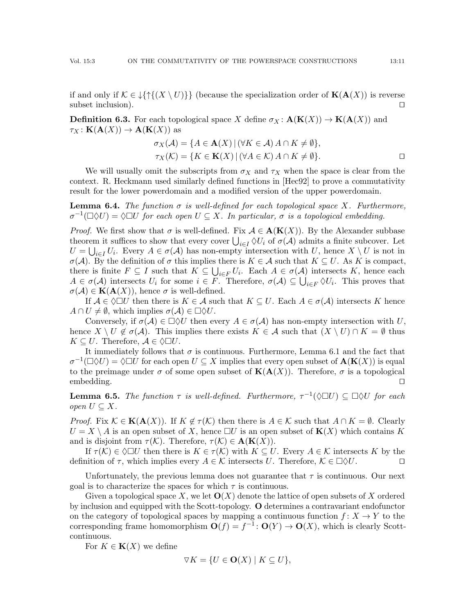if and only if  $\mathcal{K} \in \{ \{ \} \{ X \setminus U \} \}$  (because the specialization order of  $\mathbf{K}(\mathbf{A}(X))$ ) is reverse subset inclusion).  $\Box$ 

<span id="page-10-0"></span>**Definition 6.3.** For each topological space X define  $\sigma_X : \mathbf{A}(\mathbf{K}(X)) \to \mathbf{K}(\mathbf{A}(X))$  and  $\tau_X: \mathbf K(\mathbf A(X)) \to \mathbf A(\mathbf K(X))$  as

$$
\sigma_X(\mathcal{A}) = \{ A \in \mathbf{A}(X) \mid (\forall K \in \mathcal{A}) A \cap K \neq \emptyset \},\
$$
  

$$
\tau_X(\mathcal{K}) = \{ K \in \mathbf{K}(X) \mid (\forall A \in \mathcal{K}) A \cap K \neq \emptyset \}.
$$

We will usually omit the subscripts from  $\sigma_X$  and  $\tau_X$  when the space is clear from the context. R. Heckmann used similarly defined functions in [\[Hec92\]](#page-24-17) to prove a commutativity result for the lower powerdomain and a modified version of the upper powerdomain.

<span id="page-10-1"></span>**Lemma 6.4.** The function  $\sigma$  is well-defined for each topological space X. Furthermore,  $\sigma^{-1}(\Box \Diamond U) = \Diamond \Box U$  for each open  $U \subseteq X$ . In particular,  $\sigma$  is a topological embedding.

*Proof.* We first show that  $\sigma$  is well-defined. Fix  $\mathcal{A} \in \mathbf{A}(\mathbf{K}(X))$ . By the Alexander subbase theorem it suffices to show that every cover  $\bigcup_{i\in I}\Diamond U_i$  of  $\sigma(\mathcal{A})$  admits a finite subcover. Let  $U = \bigcup_{i \in I} U_i$ . Every  $A \in \sigma(A)$  has non-empty intersection with U, hence  $X \setminus U$  is not in  $\sigma(\mathcal{A})$ . By the definition of  $\sigma$  this implies there is  $K \in \mathcal{A}$  such that  $K \subseteq U$ . As K is compact, there is finite  $F \subseteq I$  such that  $K \subseteq \bigcup_{i \in F} U_i$ . Each  $A \in \sigma(A)$  intersects K, hence each  $A \in \sigma(\mathcal{A})$  intersects  $U_i$  for some  $i \in F$ . Therefore,  $\sigma(\mathcal{A}) \subseteq \bigcup_{i \in F} \Diamond U_i$ . This proves that  $\sigma(\mathcal{A}) \in \mathbf{K}(\mathbf{A}(X))$ , hence  $\sigma$  is well-defined.

If  $A \in \Diamond \Box U$  then there is  $K \in \mathcal{A}$  such that  $K \subseteq U$ . Each  $A \in \sigma(\mathcal{A})$  intersects K hence  $A \cap U \neq \emptyset$ , which implies  $\sigma(A) \in \Box \Diamond U$ .

Conversely, if  $\sigma(A) \in \Box \Diamond U$  then every  $A \in \sigma(A)$  has non-empty intersection with U, hence  $X \setminus U \notin \sigma(\mathcal{A})$ . This implies there exists  $K \in \mathcal{A}$  such that  $(X \setminus U) \cap K = \emptyset$  thus  $K \subseteq U$ . Therefore,  $\mathcal{A} \in \Diamond \Box U$ .

It immediately follows that  $\sigma$  is continuous. Furthermore, Lemma [6.1](#page-9-3) and the fact that  $\sigma^{-1}(\Box \Diamond U) = \Diamond \Box U$  for each open  $U \subseteq X$  implies that every open subset of  $\mathbf{A}(\mathbf{K}(X))$  is equal to the preimage under  $\sigma$  of some open subset of  $K(A(X))$ . Therefore,  $\sigma$  is a topological embedding.  $\square$ 

<span id="page-10-2"></span>**Lemma 6.5.** The function  $\tau$  is well-defined. Furthermore,  $\tau^{-1}(\Diamond \Box U) \subseteq \Box \Diamond U$  for each *open*  $U \subseteq X$ .

*Proof.* Fix  $\mathcal{K} \in \mathbf{K}(\mathbf{A}(X))$ . If  $K \notin \tau(\mathcal{K})$  then there is  $A \in \mathcal{K}$  such that  $A \cap K = \emptyset$ . Clearly  $U = X \setminus A$  is an open subset of X, hence  $\Box U$  is an open subset of  $\mathbf{K}(X)$  which contains K and is disjoint from  $\tau(\mathcal{K})$ . Therefore,  $\tau(\mathcal{K}) \in \mathbf{A}(\mathbf{K}(X))$ .

If  $\tau(\mathcal{K}) \in \Diamond \Box U$  then there is  $K \in \tau(\mathcal{K})$  with  $K \subseteq U$ . Every  $A \in \mathcal{K}$  intersects K by the definition of  $\tau$ , which implies every  $A \in \mathcal{K}$  intersects U. Therefore,  $\mathcal{K} \in \Box \Diamond U$ .

Unfortunately, the previous lemma does not guarantee that  $\tau$  is continuous. Our next goal is to characterize the spaces for which  $\tau$  is continuous.

Given a topological space X, we let  $\mathbf{O}(X)$  denote the lattice of open subsets of X ordered by inclusion and equipped with the Scott-topology. O determines a contravariant endofunctor on the category of topological spaces by mapping a continuous function  $f: X \to Y$  to the corresponding frame homomorphism  $\mathbf{O}(f) = f^{-1} : \mathbf{O}(Y) \to \mathbf{O}(X)$ , which is clearly Scottcontinuous.

For  $K \in \mathbf{K}(X)$  we define

$$
\nabla K = \{ U \in \mathbf{O}(X) \mid K \subseteq U \},\
$$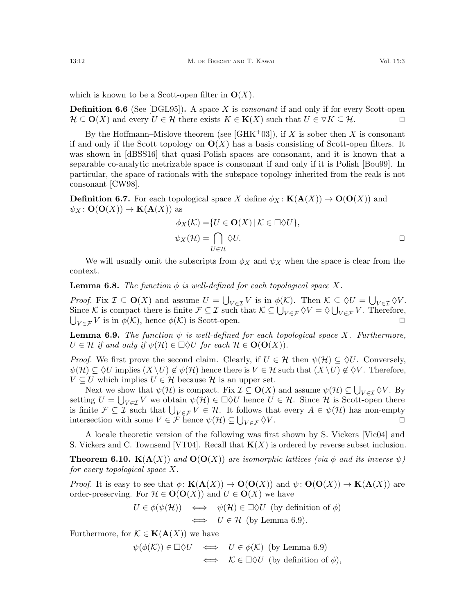which is known to be a Scott-open filter in  $\mathbf{O}(X)$ .

**Definition 6.6** (See [\[DGL95\]](#page-24-12)). A space X is *consonant* if and only if for every Scott-open  $\mathcal{H} \subseteq \mathbf{O}(X)$  and every  $U \in \mathcal{H}$  there exists  $K \in \mathbf{K}(X)$  such that  $U \in \nabla K \subseteq \mathcal{H}$ .

By the Hoffmann–Mislove theorem (see [\[GHK](#page-24-3)+03]), if X is sober then X is consonant if and only if the Scott topology on  $\mathbf{O}(X)$  has a basis consisting of Scott-open filters. It was shown in [\[dBSS16\]](#page-24-25) that quasi-Polish spaces are consonant, and it is known that a separable co-analytic metrizable space is consonant if and only if it is Polish [\[Bou99\]](#page-23-0). In particular, the space of rationals with the subspace topology inherited from the reals is not consonant [\[CW98\]](#page-24-14).

<span id="page-11-0"></span>**Definition 6.7.** For each topological space X define  $\phi_X : K(A(X)) \to O(O(X))$  and  $\psi_X : \mathbf{O}(\mathbf{O}(X)) \to \mathbf{K}(\mathbf{A}(X))$  as

$$
\phi_X(\mathcal{K}) = \{ U \in \mathbf{O}(X) \mid \mathcal{K} \in \Box \Diamond U \},
$$
  

$$
\psi_X(\mathcal{H}) = \bigcap_{U \in \mathcal{H}} \Diamond U.
$$

We will usually omit the subscripts from  $\phi_X$  and  $\psi_X$  when the space is clear from the context.

**Lemma 6.8.** The function  $\phi$  is well-defined for each topological space X.

Proof. Fix  $\mathcal{I} \subseteq \mathbf{O}(X)$  and assume  $U = \bigcup_{V \in \mathcal{I}} V$  is in  $\phi(\mathcal{K})$ . Then  $\mathcal{K} \subseteq \Diamond U = \bigcup_{V \in \mathcal{I}} \Diamond V$ . Since K is compact there is finite  $\mathcal{F} \subseteq \mathcal{I}$  such that  $\mathcal{K} \subseteq \bigcup_{V \in \mathcal{F}} \Diamond V = \Diamond \bigcup_{V \in \mathcal{F}} V$ . Therefore,  $\bigcup_{V \in \mathcal{F}} V$  is in  $\phi(\mathcal{K})$ , hence  $\phi(\mathcal{K})$  is Scott-open.

<span id="page-11-1"></span>**Lemma 6.9.** The function  $\psi$  is well-defined for each topological space X. Furthermore,  $U \in \mathcal{H}$  if and only if  $\psi(\mathcal{H}) \in \Box \Diamond U$  for each  $\mathcal{H} \in \mathbf{O}(\mathbf{O}(X)).$ 

*Proof.* We first prove the second claim. Clearly, if  $U \in \mathcal{H}$  then  $\psi(\mathcal{H}) \subseteq \Diamond U$ . Conversely,  $\psi(\mathcal{H}) \subseteq \Diamond U$  implies  $(X \setminus U) \notin \psi(\mathcal{H})$  hence there is  $V \in \mathcal{H}$  such that  $(X \setminus U) \notin \Diamond V$ . Therefore,  $V \subseteq U$  which implies  $U \in \mathcal{H}$  because  $\mathcal{H}$  is an upper set.

Next we show that  $\psi(\mathcal{H})$  is compact. Fix  $\mathcal{I} \subseteq \mathbf{O}(X)$  and assume  $\psi(\mathcal{H}) \subseteq \bigcup_{V \in \mathcal{I}} \Diamond V$ . By setting  $U = \bigcup_{V \in \mathcal{I}} V$  we obtain  $\psi(\mathcal{H}) \in \Box \Diamond U$  hence  $U \in \mathcal{H}$ . Since  $\mathcal{H}$  is Scott-open there is finite  $\mathcal{F} \subseteq \mathcal{I}$  such that  $\bigcup_{V \in \mathcal{F}} V \in \mathcal{H}$ . It follows that every  $A \in \psi(\mathcal{H})$  has non-empty intersection with some  $V \in \mathcal{F}$  hence  $\psi(\mathcal{H}) \subseteq \bigcup$  $V \in \mathcal{F} \langle V.$ 

A locale theoretic version of the following was first shown by S. Vickers [\[Vic04\]](#page-24-9) and S. Vickers and C. Townsend [\[VT04\]](#page-24-10). Recall that  $K(X)$  is ordered by reverse subset inclusion.

<span id="page-11-2"></span>**Theorem 6.10.**  $K(A(X))$  and  $O(O(X))$  are isomorphic lattices (via  $\phi$  and its inverse  $\psi$ ) for every topological space X.

*Proof.* It is easy to see that  $\phi: \mathbf{K}(\mathbf{A}(X)) \to \mathbf{O}(\mathbf{O}(X))$  and  $\psi: \mathbf{O}(\mathbf{O}(X)) \to \mathbf{K}(\mathbf{A}(X))$  are order-preserving. For  $\mathcal{H} \in \mathbf{O}(\mathbf{O}(X))$  and  $U \in \mathbf{O}(X)$  we have

$$
U \in \phi(\psi(\mathcal{H})) \iff \psi(\mathcal{H}) \in \Box \Diamond U \text{ (by definition of } \phi)
$$
  

$$
\iff U \in \mathcal{H} \text{ (by Lemma 6.9)}.
$$

Furthermore, for  $\mathcal{K} \in \mathbf{K}(\mathbf{A}(X))$  we have

$$
\psi(\phi(\mathcal{K})) \in \Box \Diamond U \iff U \in \phi(\mathcal{K}) \text{ (by Lemma 6.9)}
$$
  

$$
\iff \mathcal{K} \in \Box \Diamond U \text{ (by definition of } \phi),
$$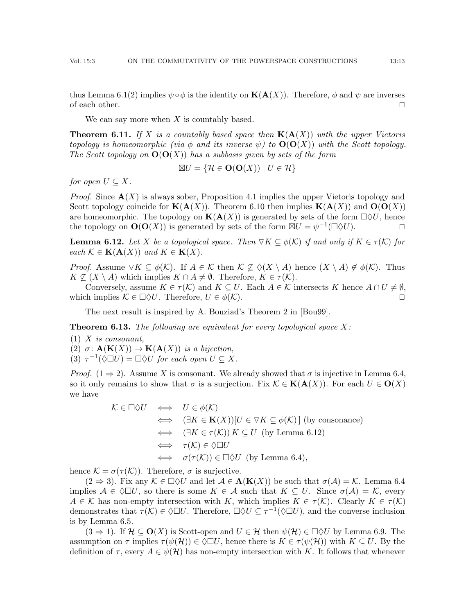thus Lemma [6.1\(](#page-9-3)[2\)](#page-9-2) implies  $\psi \circ \phi$  is the identity on  $\mathbf{K}(\mathbf{A}(X))$ . Therefore,  $\phi$  and  $\psi$  are inverses of each other.  $\Box$ 

We can say more when  $X$  is countably based.

<span id="page-12-0"></span>**Theorem 6.11.** If X is a countably based space then  $K(A(X))$  with the upper Vietoris topology is homeomorphic (via  $\phi$  and its inverse  $\psi$ ) to  $O(O(X))$  with the Scott topology. The Scott topology on  $\mathbf{O}(\mathbf{O}(X))$  has a subbasis given by sets of the form

$$
\boxtimes U = \{ \mathcal{H} \in \mathbf{O}(\mathbf{O}(X)) \mid U \in \mathcal{H} \}
$$

for open  $U \subseteq X$ .

*Proof.* Since  $\mathbf{A}(X)$  is always sober, Proposition [4.1](#page-6-1) implies the upper Vietoris topology and Scott topology coincide for  $\mathbf{K}(\mathbf{A}(X))$ . Theorem [6.10](#page-11-2) then implies  $\mathbf{K}(\mathbf{A}(X))$  and  $\mathbf{O}(\mathbf{O}(X))$ are homeomorphic. The topology on  $K(A(X))$  is generated by sets of the form  $\Box \Diamond U$ , hence the topology on  $\mathbf{O}(\mathbf{O}(X))$  is generated by sets of the form  $\boxtimes U = \psi^{-1}(\Box \Diamond U)$ .

<span id="page-12-4"></span>**Lemma 6.12.** Let X be a topological space. Then  $\nabla K \subseteq \phi(\mathcal{K})$  if and only if  $K \in \tau(\mathcal{K})$  for each  $\mathcal{K} \in \mathbf{K}(\mathbf{A}(X))$  and  $K \in \mathbf{K}(X)$ .

*Proof.* Assume  $\nabla K \subseteq \phi(K)$ . If  $A \in \mathcal{K}$  then  $\mathcal{K} \nsubseteq \phi(X \setminus A)$  hence  $(X \setminus A) \notin \phi(\mathcal{K})$ . Thus  $K \nsubseteq (X \setminus A)$  which implies  $K \cap A \neq \emptyset$ . Therefore,  $K \in \tau(\mathcal{K})$ .

Conversely, assume  $K \in \tau(\mathcal{K})$  and  $K \subseteq U$ . Each  $A \in \mathcal{K}$  intersects K hence  $A \cap U \neq \emptyset$ , which implies  $\mathcal{K} \in \Box \Diamond U$ . Therefore,  $U \in \phi(\mathcal{K})$ .

The next result is inspired by A. Bouziad's Theorem 2 in [\[Bou99\]](#page-23-0).

<span id="page-12-1"></span>**Theorem 6.13.** The following are equivalent for every topological space  $X$ :

<span id="page-12-3"></span><span id="page-12-2"></span> $(1)$  X is consonant, (2)  $\sigma: \mathbf{A}(\mathbf{K}(X)) \to \mathbf{K}(\mathbf{A}(X))$  is a bijection,

<span id="page-12-5"></span>(3)  $\tau^{-1}(\Diamond \Box U) = \Box \Diamond U$  for each open  $U \subseteq X$ .

*Proof.* [\(1](#page-12-2)  $\Rightarrow$  [2\)](#page-12-3). Assume X is consonant. We already showed that  $\sigma$  is injective in Lemma [6.4,](#page-10-1) so it only remains to show that  $\sigma$  is a surjection. Fix  $\mathcal{K} \in \mathbf{K}(\mathbf{A}(X))$ . For each  $U \in \mathbf{O}(X)$ we have

$$
\mathcal{K} \in \Box \Diamond U \iff U \in \phi(\mathcal{K})
$$
  
\n
$$
\iff (\exists K \in \mathbf{K}(X))[U \in \nabla K \subseteq \phi(\mathcal{K})] \text{ (by consonance)}
$$
  
\n
$$
\iff (\exists K \in \tau(\mathcal{K})) K \subseteq U \text{ (by Lemma 6.12)}
$$
  
\n
$$
\iff \tau(\mathcal{K}) \in \Diamond \Box U
$$
  
\n
$$
\iff \sigma(\tau(\mathcal{K})) \in \Box \Diamond U \text{ (by Lemma 6.4)},
$$

hence  $\mathcal{K} = \sigma(\tau(\mathcal{K}))$ . Therefore,  $\sigma$  is surjective.

 $(2 \Rightarrow 3)$  $(2 \Rightarrow 3)$  $(2 \Rightarrow 3)$ . Fix any  $\mathcal{K} \in \Box \Diamond U$  and let  $\mathcal{A} \in \mathbf{A}(\mathbf{K}(X))$  be such that  $\sigma(\mathcal{A}) = \mathcal{K}$ . Lemma [6.4](#page-10-1) implies  $A \in \Diamond \Box U$ , so there is some  $K \in \mathcal{A}$  such that  $K \subseteq U$ . Since  $\sigma(A) = \mathcal{K}$ , every  $A \in \mathcal{K}$  has non-empty intersection with K, which implies  $K \in \tau(\mathcal{K})$ . Clearly  $K \in \tau(\mathcal{K})$ demonstrates that  $\tau(\mathcal{K}) \in \Diamond \Box U$ . Therefore,  $\Box \Diamond U \subseteq \tau^{-1}(\Diamond \Box U)$ , and the converse inclusion is by Lemma [6.5.](#page-10-2)

 $(3 \Rightarrow 1)$  $(3 \Rightarrow 1)$  $(3 \Rightarrow 1)$ . If  $\mathcal{H} \subset \mathbf{O}(X)$  is Scott-open and  $U \in \mathcal{H}$  then  $\psi(\mathcal{H}) \in \Box \Diamond U$  by Lemma [6.9.](#page-11-1) The assumption on  $\tau$  implies  $\tau(\psi(\mathcal{H})) \in \Diamond \Box U$ , hence there is  $K \in \tau(\psi(\mathcal{H}))$  with  $K \subseteq U$ . By the definition of  $\tau$ , every  $A \in \psi(\mathcal{H})$  has non-empty intersection with K. It follows that whenever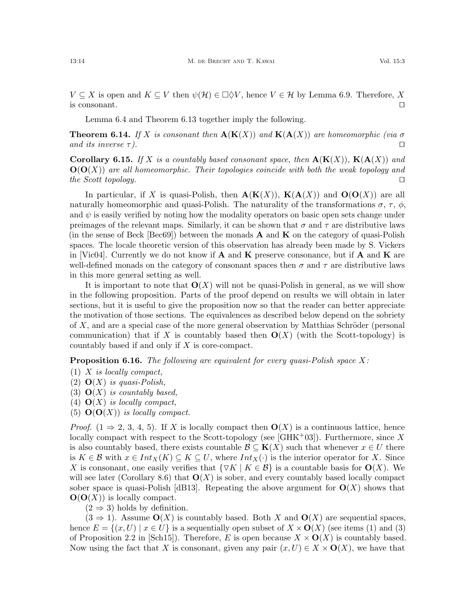$V \subseteq X$  is open and  $K \subseteq V$  then  $\psi(\mathcal{H}) \in \Box \Diamond V$ , hence  $V \in \mathcal{H}$  by Lemma [6.9.](#page-11-1) Therefore, X is consonant.  $\Box$ 

Lemma [6.4](#page-10-1) and Theorem [6.13](#page-12-1) together imply the following.

<span id="page-13-0"></span>**Theorem 6.14.** If X is consonant then  $\mathbf{A}(\mathbf{K}(X))$  and  $\mathbf{K}(\mathbf{A}(X))$  are homeomorphic (via  $\sigma$ and its inverse  $\tau$ ).

**Corollary 6.15.** If X is a countably based consonant space, then  $\mathbf{A}(\mathbf{K}(X))$ ,  $\mathbf{K}(\mathbf{A}(X))$  and  $\mathbf{O}(\mathbf{O}(X))$  are all homeomorphic. Their topologies coincide with both the weak topology and the Scott topology.  $\square$ 

In particular, if X is quasi-Polish, then  $\mathbf{A}(\mathbf{K}(X))$ ,  $\mathbf{K}(\mathbf{A}(X))$  and  $\mathbf{O}(\mathbf{O}(X))$  are all naturally homeomorphic and quasi-Polish. The naturality of the transformations  $\sigma$ ,  $\tau$ ,  $\phi$ , and  $\psi$  is easily verified by noting how the modality operators on basic open sets change under preimages of the relevant maps. Similarly, it can be shown that  $\sigma$  and  $\tau$  are distributive laws (in the sense of Beck  $\lceil \text{Bec69} \rceil$ ) between the monads **A** and **K** on the category of quasi-Polish spaces. The locale theoretic version of this observation has already been made by S. Vickers in [\[Vic04\]](#page-24-9). Currently we do not know if **A** and **K** preserve consonance, but if **A** and **K** are well-defined monads on the category of consonant spaces then  $\sigma$  and  $\tau$  are distributive laws in this more general setting as well.

It is important to note that  $\mathbf{O}(X)$  will not be quasi-Polish in general, as we will show in the following proposition. Parts of the proof depend on results we will obtain in later sections, but it is useful to give the proposition now so that the reader can better appreciate the motivation of those sections. The equivalences as described below depend on the sobriety of  $X$ , and are a special case of the more general observation by Matthias Schröder (personal communication) that if X is countably based then  $O(X)$  (with the Scott-topology) is countably based if and only if X is core-compact.

**Proposition 6.16.** The following are equivalent for every quasi-Polish space  $X$ :

- <span id="page-13-1"></span>(1) X is locally compact,
- <span id="page-13-2"></span>(2)  $\mathbf{O}(X)$  is quasi-Polish,
- <span id="page-13-3"></span>(3)  $\mathbf{O}(X)$  is countably based,
- <span id="page-13-4"></span>(4)  $\mathbf{O}(X)$  is locally compact,
- <span id="page-13-5"></span>(5)  $\mathbf{O}(\mathbf{O}(X))$  is locally compact.

*Proof.* [\(1](#page-13-1)  $\Rightarrow$  [2,](#page-13-2) [3,](#page-13-3) [4,](#page-13-4) [5\)](#page-13-5). If X is locally compact then  $O(X)$  is a continuous lattice, hence locally compact with respect to the Scott-topology (see  $|GHK^+03|$ ). Furthermore, since X is also countably based, there exists countable  $\mathcal{B} \subseteq \mathbf{K}(X)$  such that whenever  $x \in U$  there is  $K \in \mathcal{B}$  with  $x \in Int_X(K) \subseteq K \subseteq U$ , where  $Int_X(\cdot)$  is the interior operator for X. Since X is consonant, one easily verifies that  $\{\triangledown K | K \in \mathcal{B}\}\$ is a countable basis for  $O(X)$ . We will see later (Corollary [8.6\)](#page-20-2) that  $\mathbf{O}(X)$  is sober, and every countably based locally compact sober space is quasi-Polish [\[dB13\]](#page-24-4). Repeating the above argument for  $O(X)$  shows that  $\mathbf{O}(\mathbf{O}(X))$  is locally compact.

 $(2 \Rightarrow 3)$  $(2 \Rightarrow 3)$  $(2 \Rightarrow 3)$  holds by definition.

 $(3 \Rightarrow 1)$  $(3 \Rightarrow 1)$  $(3 \Rightarrow 1)$ . Assume  $\mathbf{O}(X)$  is countably based. Both X and  $\mathbf{O}(X)$  are sequential spaces, hence  $E = \{(x, U) \mid x \in U\}$  is a sequentially open subset of  $X \times \mathbf{O}(X)$  (see items (1) and (3) of Proposition 2.2 in [\[Sch15\]](#page-24-19)). Therefore, E is open because  $X \times \mathbf{O}(X)$  is countably based. Now using the fact that X is consonant, given any pair  $(x, U) \in X \times O(X)$ , we have that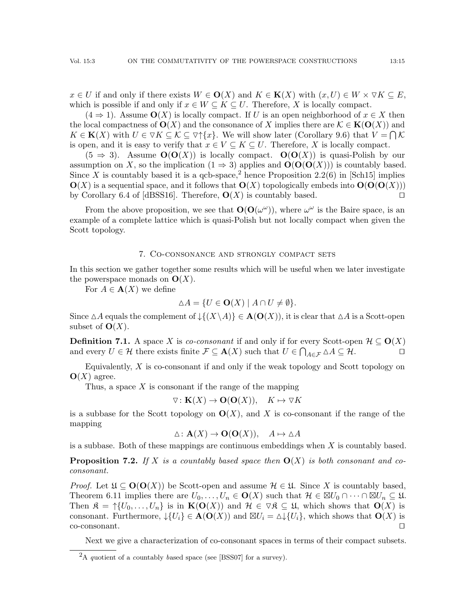$x \in U$  if and only if there exists  $W \in \mathbf{O}(X)$  and  $K \in \mathbf{K}(X)$  with  $(x, U) \in W \times \triangledown K \subseteq E$ , which is possible if and only if  $x \in W \subseteq K \subseteq U$ . Therefore, X is locally compact.

 $(4 \Rightarrow 1)$  $(4 \Rightarrow 1)$  $(4 \Rightarrow 1)$ . Assume  $\mathbf{O}(X)$  is locally compact. If U is an open neighborhood of  $x \in X$  then the local compactness of  $\mathbf{O}(X)$  and the consonance of X implies there are  $\mathcal{K} \in \mathbf{K}(\mathbf{O}(X))$  and  $K \in \mathbf{K}(X)$  with  $U \in \nabla K \subseteq \mathcal{K} \subseteq \nabla \uparrow \{x\}$ . We will show later (Corollary [9.6\)](#page-23-3) that  $V = \bigcap \mathcal{K}$ is open, and it is easy to verify that  $x \in V \subseteq K \subseteq U$ . Therefore, X is locally compact.

 $(5 \Rightarrow 3)$  $(5 \Rightarrow 3)$  $(5 \Rightarrow 3)$ . Assume  $O(O(X))$  is locally compact.  $O(O(X))$  is quasi-Polish by our assumption on X, so the implication  $(1 \Rightarrow 3)$  $(1 \Rightarrow 3)$  $(1 \Rightarrow 3)$  applies and  $O(O(O(X)))$  is countably based. Since X is countably based it is a qcb-space,<sup>[2](#page-14-0)</sup> hence Proposition 2.2(6) in [\[Sch15\]](#page-24-19) implies  $\mathbf{O}(X)$  is a sequential space, and it follows that  $\mathbf{O}(X)$  topologically embeds into  $\mathbf{O}(\mathbf{O}(\mathbf{O}(X)))$ by Corollary 6.4 of [\[dBSS16\]](#page-24-25). Therefore,  $O(X)$  is countably based.  $\square$ 

From the above proposition, we see that  $\mathbf{O}(\mathbf{O}(\omega^{\omega}))$ , where  $\omega^{\omega}$  is the Baire space, is an example of a complete lattice which is quasi-Polish but not locally compact when given the Scott topology.

#### 7. Co-consonance and strongly compact sets

In this section we gather together some results which will be useful when we later investigate the powerspace monads on  $\mathbf{O}(X)$ .

For  $A \in \mathbf{A}(X)$  we define

$$
\Delta A = \{ U \in \mathbf{O}(X) \mid A \cap U \neq \emptyset \}.
$$

Since  $\Delta A$  equals the complement of  $\mathcal{L}(X\setminus A)\in \mathbf{A}(\mathbf{O}(X))$ , it is clear that  $\Delta A$  is a Scott-open subset of  $\mathbf{O}(X)$ .

**Definition 7.1.** A space X is co-consonant if and only if for every Scott-open  $\mathcal{H} \subseteq \mathbf{O}(X)$ and every  $U \in \mathcal{H}$  there exists finite  $\mathcal{F} \subseteq \mathbf{A}(X)$  such that  $U \in \bigcap_{A \in \mathcal{F}} \Delta A \subseteq \mathcal{H}$ .

Equivalently,  $X$  is co-consonant if and only if the weak topology and Scott topology on  $\mathbf{O}(X)$  agree.

Thus, a space  $X$  is consonant if the range of the mapping

$$
\nabla: \mathbf{K}(X) \to \mathbf{O}(\mathbf{O}(X)), \quad K \mapsto \nabla K
$$

is a subbase for the Scott topology on  $O(X)$ , and X is co-consonant if the range of the mapping

$$
\Delta: \mathbf{A}(X) \to \mathbf{O}(\mathbf{O}(X)), \quad A \mapsto \Delta A
$$

is a subbase. Both of these mappings are continuous embeddings when  $X$  is countably based.

<span id="page-14-1"></span>**Proposition 7.2.** If X is a countably based space then  $O(X)$  is both consonant and coconsonant.

*Proof.* Let  $\mathfrak{U} \subseteq \mathbf{O}(\mathbf{O}(X))$  be Scott-open and assume  $\mathcal{H} \in \mathfrak{U}$ . Since X is countably based, Theorem [6.11](#page-12-0) implies there are  $U_0, \ldots, U_n \in \mathbf{O}(X)$  such that  $\mathcal{H} \in \boxtimes U_0 \cap \cdots \cap \boxtimes U_n \subseteq \mathfrak{U}$ . Then  $\mathfrak{K} = \uparrow \{U_0, \ldots, U_n\}$  is in  $\mathbf{K}(\mathbf{O}(X))$  and  $\mathcal{H} \in \nabla \mathfrak{K} \subseteq \mathfrak{U}$ , which shows that  $\mathbf{O}(X)$  is consonant. Furthermore,  $\downarrow$ { $U_i$ }  $\in$   $\mathbf{A}(\mathbf{O}(X))$  and  $\boxtimes U_i = \land \downarrow$ { $U_i$ }, which shows that  $\mathbf{O}(X)$  is  $\Box$  co-consonant.

Next we give a characterization of co-consonant spaces in terms of their compact subsets.

<span id="page-14-0"></span><sup>&</sup>lt;sup>2</sup>A quotient of a countably based space (see [\[BSS07\]](#page-23-4) for a survey).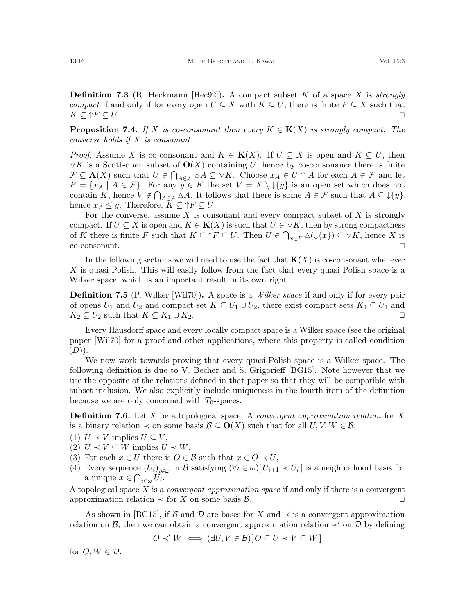**Definition 7.3** (R. Heckmann [\[Hec92\]](#page-24-17)). A compact subset K of a space X is *strongly* compact if and only if for every open  $U \subseteq X$  with  $K \subseteq U$ , there is finite  $F \subseteq X$  such that  $K \subseteq \uparrow F \subseteq U.$ 

<span id="page-15-0"></span>**Proposition 7.4.** If X is co-consonant then every  $K \in K(X)$  is strongly compact. The converse holds if X is consonant.

*Proof.* Assume X is co-consonant and  $K \in K(X)$ . If  $U \subseteq X$  is open and  $K \subseteq U$ , then  $\nabla K$  is a Scott-open subset of  $\mathbf{O}(X)$  containing U, hence by co-consonance there is finite  $\mathcal{F} \subseteq \mathbf{A}(X)$  such that  $U \in \bigcap_{A \in \mathcal{F}} \Delta A \subseteq \nabla K$ . Choose  $x_A \in U \cap A$  for each  $A \in \mathcal{F}$  and let  $F = \{x_A \mid A \in \mathcal{F}\}\.$  For any  $y \in K$  the set  $V = X \setminus \{y\}$  is an open set which does not contain K, hence  $V \notin \bigcap_{A \in \mathcal{F}} \Delta A$ . It follows that there is some  $A \in \mathcal{F}$  such that  $A \subseteq \mathcal{F}{y}$ , hence  $x_A \leq y$ . Therefore,  $K \subseteq \uparrow F \subseteq U$ .

For the converse, assume  $X$  is consonant and every compact subset of  $X$  is strongly compact. If  $U \subseteq X$  is open and  $K \in K(X)$  is such that  $U \in \nabla K$ , then by strong compactness of K there is finite F such that  $K \subseteq \uparrow F \subseteq U$ . Then  $U \in \bigcap_{x \in F} \Delta(\downarrow \{x\}) \subseteq \nabla K$ , hence X is  $\Box$ co-consonant.  $\Box$ 

In the following sections we will need to use the fact that  $K(X)$  is co-consonant whenever X is quasi-Polish. This will easily follow from the fact that every quasi-Polish space is a Wilker space, which is an important result in its own right.

**Definition 7.5** (P. Wilker [\[Wil70\]](#page-24-26)). A space is a *Wilker space* if and only if for every pair of opens  $U_1$  and  $U_2$  and compact set  $K \subseteq U_1 \cup U_2$ , there exist compact sets  $K_1 \subseteq U_1$  and  $K_2 \subseteq U_2$  such that  $K \subseteq K_1 \cup K_2$ .

Every Hausdorff space and every locally compact space is a Wilker space (see the original paper [\[Wil70\]](#page-24-26) for a proof and other applications, where this property is called condition  $(D)$ ).

We now work towards proving that every quasi-Polish space is a Wilker space. The following definition is due to V. Becher and S. Grigorieff [\[BG15\]](#page-23-2). Note however that we use the opposite of the relations defined in that paper so that they will be compatible with subset inclusion. We also explicitly include uniqueness in the fourth item of the definition because we are only concerned with  $T_0$ -spaces.

**Definition 7.6.** Let X be a topological space. A *convergent approximation relation* for X is a binary relation  $\prec$  on some basis  $\mathcal{B} \subseteq \mathbf{O}(X)$  such that for all  $U, V, W \in \mathcal{B}$ :

(1) 
$$
U \prec V
$$
 implies  $U \subseteq V$ ,

- (2)  $U \prec V \subseteq W$  implies  $U \prec W$ ,
- (3) For each  $x \in U$  there is  $O \in \mathcal{B}$  such that  $x \in O \prec U$ ,
- (4) Every sequence  $(U_i)_{i \in \omega}$  in B satisfying  $(\forall i \in \omega)[U_{i+1} \prec U_i]$  is a neighborhood basis for a unique  $x \in \bigcap_{i \in \omega} U_i$ .

A topological space X is a *convergent approximation space* if and only if there is a convergent approximation relation  $\prec$  for X on some basis  $\mathcal{B}$ .

As shown in [\[BG15\]](#page-23-2), if B and D are bases for X and  $\prec$  is a convergent approximation relation on B, then we can obtain a convergent approximation relation  $\prec'$  on D by defining

$$
O \prec' W \iff (\exists U, V \in \mathcal{B}) [O \subseteq U \prec V \subseteq W]
$$

for  $O, W \in \mathcal{D}$ .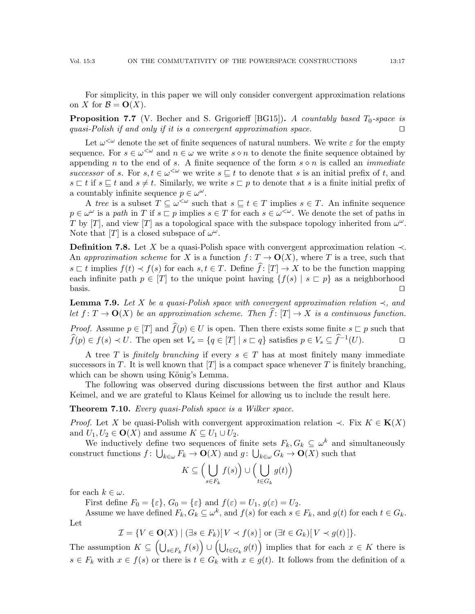For simplicity, in this paper we will only consider convergent approximation relations on X for  $\mathcal{B} = \mathbf{O}(X)$ .

**Proposition 7.7** (V. Becher and S. Grigorieff [\[BG15\]](#page-23-2)). A countably based  $T_0$ -space is quasi-Polish if and only if it is a convergent approximation space.  $\Box$ 

Let  $\omega^{\leq \omega}$  denote the set of finite sequences of natural numbers. We write  $\varepsilon$  for the empty sequence. For  $s \in \omega^{\leq \omega}$  and  $n \in \omega$  we write  $s \diamond n$  to denote the finite sequence obtained by appending n to the end of s. A finite sequence of the form  $s \diamond n$  is called an *immediate* successor of s. For  $s, t \in \omega^{\leq \omega}$  we write  $s \sqsubseteq t$  to denote that s is an initial prefix of t, and  $s \sqsubset t$  if  $s \sqsubseteq t$  and  $s \neq t$ . Similarly, we write  $s \sqsubset p$  to denote that s is a finite initial prefix of a countably infinite sequence  $p \in \omega^{\omega}$ .

A tree is a subset  $T \subseteq \omega^{\leq \omega}$  such that  $s \subseteq t \in T$  implies  $s \in T$ . An infinite sequence  $p \in \omega^{\omega}$  is a path in T if  $s \subset p$  implies  $s \in T$  for each  $s \in \omega^{\leq \omega}$ . We denote the set of paths in T by [T], and view [T] as a topological space with the subspace topology inherited from  $\omega^{\omega}$ . Note that  $[T]$  is a closed subspace of  $\omega^{\omega}$ .

**Definition 7.8.** Let X be a quasi-Polish space with convergent approximation relation  $\prec$ . An approximation scheme for X is a function  $f: T \to \mathbf{O}(X)$ , where T is a tree, such that  $s \subset t$  implies  $f(t) \prec f(s)$  for each  $s, t \in T$ . Define  $\hat{f}: [T] \to X$  to be the function mapping each infinite path  $p \in [T]$  to the unique point having  $\{f(s) \mid s \sqsubset p\}$  as a neighborhood basis.  $\square$ 

**Lemma 7.9.** Let X be a quasi-Polish space with convergent approximation relation  $\prec$ , and let  $f: T \to \mathbf{O}(X)$  be an approximation scheme. Then  $\widehat{f}: [T] \to X$  is a continuous function.

*Proof.* Assume  $p \in [T]$  and  $\widehat{f}(p) \in U$  is open. Then there exists some finite  $s \sqsubset p$  such that  $\widehat{f}(p) \in f(s) \prec U$ . The open set  $V_s = \{q \in [T] \mid s \sqsubset q\}$  satisfies  $p \in V_s \subseteq \widehat{f}^{-1}(U)$ .  $\widehat{f}(p) \in f(s) \prec U$ . The open set  $V_s = \{q \in [T] \mid s \sqsubset q\}$  satisfies  $p \in V_s \subseteq \widehat{f}^{-1}(U)$ .

A tree T is finitely branching if every  $s \in T$  has at most finitely many immediate successors in T. It is well known that  $[T]$  is a compact space whenever T is finitely branching, which can be shown using König's Lemma.

The following was observed during discussions between the first author and Klaus Keimel, and we are grateful to Klaus Keimel for allowing us to include the result here.

## **Theorem 7.10.** Every quasi-Polish space is a Wilker space.

*Proof.* Let X be quasi-Polish with convergent approximation relation  $\prec$ . Fix  $K \in K(X)$ and  $U_1, U_2 \in \mathbf{O}(X)$  and assume  $K \subseteq U_1 \cup U_2$ .

We inductively define two sequences of finite sets  $F_k, G_k \subseteq \omega^k$  and simultaneously construct functions  $f: \bigcup_{k\in\omega} F_k \to \mathbf{O}(X)$  and  $g: \bigcup_{k\in\omega} G_k \to \mathbf{O}(X)$  such that

$$
K \subseteq \left(\bigcup_{s \in F_k} f(s)\right) \cup \left(\bigcup_{t \in G_k} g(t)\right)
$$

for each  $k \in \omega$ .

First define  $F_0 = \{\varepsilon\}, G_0 = \{\varepsilon\}$  and  $f(\varepsilon) = U_1, g(\varepsilon) = U_2$ .

Assume we have defined  $F_k, G_k \subseteq \omega^k$ , and  $f(s)$  for each  $s \in F_k$ , and  $g(t)$  for each  $t \in G_k$ . Let

$$
\mathcal{I} = \{ V \in \mathbf{O}(X) \mid (\exists s \in F_k)[V \prec f(s)] \text{ or } (\exists t \in G_k)[V \prec g(t)] \}.
$$

The assumption  $K \subseteq \left(\bigcup_{s \in F_k} f(s)\right) \cup \left(\bigcup_{t \in G_k} g(t)\right)$  implies that for each  $x \in K$  there is  $s \in F_k$  with  $x \in f(s)$  or there is  $t \in G_k$  with  $x \in g(t)$ . It follows from the definition of a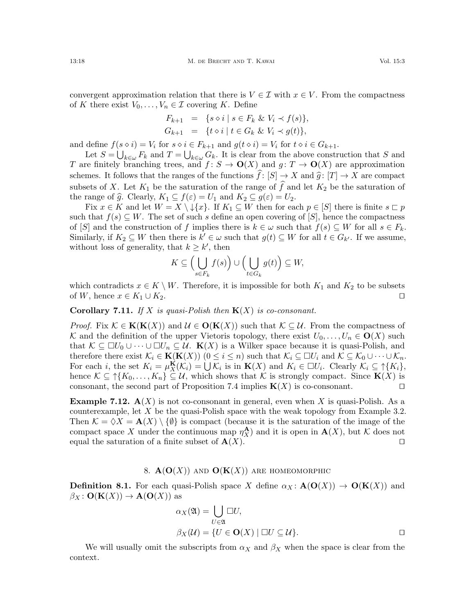convergent approximation relation that there is  $V \in \mathcal{I}$  with  $x \in V$ . From the compactness of K there exist  $V_0, \ldots, V_n \in \mathcal{I}$  covering K. Define

$$
F_{k+1} = \{ s \diamond i \mid s \in F_k \& V_i \prec f(s) \},
$$
  
\n
$$
G_{k+1} = \{ t \diamond i \mid t \in G_k \& V_i \prec g(t) \},
$$

and define  $f(s \circ i) = V_i$  for  $s \circ i \in F_{k+1}$  and  $g(t \circ i) = V_i$  for  $t \circ i \in G_{k+1}$ .

Let  $S = \bigcup_{k \in \omega} F_k$  and  $T = \bigcup_{k \in \omega} G_k$ . It is clear from the above construction that S and T are finitely branching trees, and  $f: S \to \mathbf{O}(X)$  and  $g: T \to \mathbf{O}(X)$  are approximation schemes. It follows that the ranges of the functions  $\hat{f}: [S] \to X$  and  $\hat{g}: [T] \to X$  are compact subsets of X. Let  $K_1$  be the saturation of the range of  $\hat{f}$  and let  $K_2$  be the saturation of the range of  $\widehat{g}$ . Clearly,  $K_1 \subseteq f(\varepsilon) = U_1$  and  $K_2 \subseteq g(\varepsilon) = U_2$ .

Fix  $x \in K$  and let  $W = X \setminus \{x\}$ . If  $K_1 \subseteq W$  then for each  $p \in [S]$  there is finite  $s \sqsubset p$ such that  $f(s) \subseteq W$ . The set of such s define an open covering of [S], hence the compactness of [S] and the construction of f implies there is  $k \in \omega$  such that  $f(s) \subseteq W$  for all  $s \in F_k$ . Similarly, if  $K_2 \subseteq W$  then there is  $k' \in \omega$  such that  $g(t) \subseteq W$  for all  $t \in G_{k'}$ . If we assume, without loss of generality, that  $k \geq k'$ , then

$$
K \subseteq \left(\bigcup_{s \in F_k} f(s)\right) \cup \left(\bigcup_{t \in G_k} g(t)\right) \subseteq W,
$$

which contradicts  $x \in K \setminus W$ . Therefore, it is impossible for both  $K_1$  and  $K_2$  to be subsets of W, hence  $x \in K_1 \cup K_2$ .

<span id="page-17-2"></span>**Corollary 7.11.** If X is quasi-Polish then  $K(X)$  is co-consonant.

*Proof.* Fix  $\mathcal{K} \in \mathbf{K}(\mathbf{K}(X))$  and  $\mathcal{U} \in \mathbf{O}(\mathbf{K}(X))$  such that  $\mathcal{K} \subseteq \mathcal{U}$ . From the compactness of K and the definition of the upper Vietoris topology, there exist  $U_0, \ldots, U_n \in \mathbf{O}(X)$  such that  $\mathcal{K} \subseteq \Box U_0 \cup \cdots \cup \Box U_n \subseteq \mathcal{U}$ .  $\mathbf{K}(X)$  is a Wilker space because it is quasi-Polish, and therefore there exist  $\mathcal{K}_i \in \mathbf{K}(\mathbf{K}(X))$   $(0 \leq i \leq n)$  such that  $\mathcal{K}_i \subseteq \Box U_i$  and  $\mathcal{K} \subseteq \mathcal{K}_0 \cup \cdots \cup \mathcal{K}_n$ . For each *i*, the set  $K_i = \mu_X^{\mathbf{K}}(\mathcal{K}_i) = \bigcup \mathcal{K}_i$  is in  $\mathbf{K}(X)$  and  $K_i \in \Box U_i$ . Clearly  $\mathcal{K}_i \subseteq \uparrow \{K_i\}$ , hence  $\mathcal{K} \subseteq \uparrow \{K_0, \ldots, K_n\} \subseteq \mathcal{U}$ , which shows that K is strongly compact. Since  $\mathbf{K}(X)$  is consonant, the second part of Proposition [7.4](#page-15-0) implies  $K(X)$  is co-consonant.

**Example 7.12.**  $A(X)$  is not co-consonant in general, even when X is quasi-Polish. As a counterexample, let  $X$  be the quasi-Polish space with the weak topology from Example [3.2.](#page-4-1) Then  $\mathcal{K} = \Diamond X = \mathbf{A}(X) \setminus \{ \emptyset \}$  is compact (because it is the saturation of the image of the compact space X under the continuous map  $\eta_X^{\mathbf{A}}$  and it is open in  $\mathbf{A}(X)$ , but K does not equal the saturation of a finite subset of  $\mathbf{A}(X)$ .

## 8.  $\mathbf{A}(\mathbf{O}(X))$  and  $\mathbf{O}(\mathbf{K}(X))$  are homeomorphic

<span id="page-17-1"></span><span id="page-17-0"></span>**Definition 8.1.** For each quasi-Polish space X define  $\alpha_X : \mathbf{A}(\mathbf{O}(X)) \to \mathbf{O}(\mathbf{K}(X))$  and  $\beta_X\colon \mathbf{O}(\mathbf{K}(X))\to \mathbf{A}(\mathbf{O}(X))$  as

$$
\alpha_X(\mathfrak{A}) = \bigcup_{U \in \mathfrak{A}} \Box U,
$$
  

$$
\beta_X(\mathcal{U}) = \{ U \in \mathbf{O}(X) \mid \Box U \subseteq \mathcal{U} \}.
$$

We will usually omit the subscripts from  $\alpha_X$  and  $\beta_X$  when the space is clear from the context.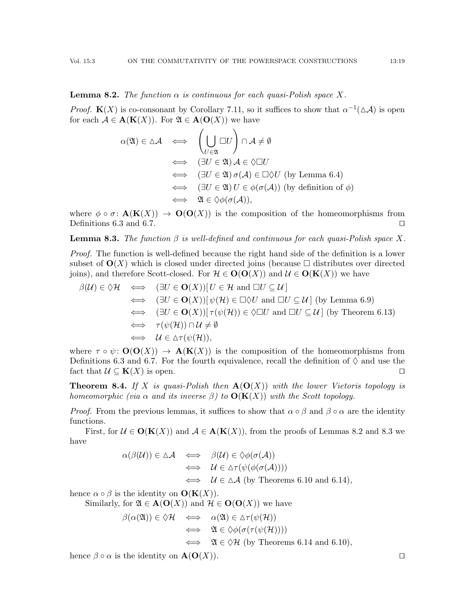<span id="page-18-1"></span>*Proof.*  $\mathbf{K}(X)$  is co-consonant by Corollary [7.11,](#page-17-2) so it suffices to show that  $\alpha^{-1}(\Delta \mathcal{A})$  is open for each  $A \in \mathbf{A}(\mathbf{K}(X))$ . For  $\mathfrak{A} \in \mathbf{A}(\mathbf{O}(X))$  we have

$$
\alpha(\mathfrak{A}) \in \Delta \mathcal{A} \iff \left(\bigcup_{U \in \mathfrak{A}} \Box U\right) \cap \mathcal{A} \neq \emptyset
$$
  
\n
$$
\iff (\exists U \in \mathfrak{A}) \mathcal{A} \in \Diamond \Box U
$$
  
\n
$$
\iff (\exists U \in \mathfrak{A}) \sigma(\mathcal{A}) \in \Box \Diamond U \text{ (by Lemma 6.4)}
$$
  
\n
$$
\iff (\exists U \in \mathfrak{A}) U \in \phi(\sigma(\mathcal{A})) \text{ (by definition of } \phi)
$$
  
\n
$$
\iff \mathfrak{A} \in \Diamond \phi(\sigma(\mathcal{A})),
$$

where  $\phi \circ \sigma : \mathbf{A}(\mathbf{K}(X)) \to \mathbf{O}(\mathbf{O}(X))$  is the composition of the homeomorphisms from Definitions [6.3](#page-10-0) and [6.7.](#page-11-0)  $\Box$ 

<span id="page-18-2"></span>**Lemma 8.3.** The function  $\beta$  is well-defined and continuous for each quasi-Polish space X.

Proof. The function is well-defined because the right hand side of the definition is a lower subset of  $\mathbf{O}(X)$  which is closed under directed joins (because  $\Box$  distributes over directed joins), and therefore Scott-closed. For  $\mathcal{H} \in O(O(X))$  and  $\mathcal{U} \in O(K(X))$  we have

$$
\beta(\mathcal{U}) \in \Diamond \mathcal{H} \iff (\exists U \in \mathbf{O}(X))[U \in \mathcal{H} \text{ and } \Box U \subseteq \mathcal{U}]
$$
  
\n
$$
\iff (\exists U \in \mathbf{O}(X))[ \psi(\mathcal{H}) \in \Box \Diamond U \text{ and } \Box U \subseteq \mathcal{U}] \text{ (by Lemma 6.9)}
$$
  
\n
$$
\iff (\exists U \in \mathbf{O}(X))[ \tau(\psi(\mathcal{H})) \in \Diamond \Box U \text{ and } \Box U \subseteq \mathcal{U}] \text{ (by Theorem 6.13)}
$$
  
\n
$$
\iff \tau(\psi(\mathcal{H})) \cap \mathcal{U} \neq \emptyset
$$
  
\n
$$
\iff \mathcal{U} \in \Delta \tau(\psi(\mathcal{H})),
$$

where  $\tau \circ \psi \colon \mathbf{O}(\mathbf{O}(X)) \to \mathbf{A}(\mathbf{K}(X))$  is the composition of the homeomorphisms from Definitions [6.3](#page-10-0) and [6.7.](#page-11-0) For the fourth equivalence, recall the definition of  $\Diamond$  and use the fact that  $\mathcal{U} \subseteq \mathbf{K}(X)$  is open.

<span id="page-18-0"></span>**Theorem 8.4.** If X is quasi-Polish then  $\mathbf{A}(\mathbf{O}(X))$  with the lower Vietoris topology is homeomorphic (via  $\alpha$  and its inverse  $\beta$ ) to  $O(K(X))$  with the Scott topology.

*Proof.* From the previous lemmas, it suffices to show that  $\alpha \circ \beta$  and  $\beta \circ \alpha$  are the identity functions.

First, for  $\mathcal{U} \in \mathbf{O}(\mathbf{K}(X))$  and  $\mathcal{A} \in \mathbf{A}(\mathbf{K}(X))$ , from the proofs of Lemmas [8.2](#page-18-1) and [8.3](#page-18-2) we have

$$
\alpha(\beta(\mathcal{U})) \in \Delta \mathcal{A} \iff \beta(\mathcal{U}) \in \Diamond \phi(\sigma(\mathcal{A}))
$$
  
\n
$$
\iff \mathcal{U} \in \Delta \tau(\psi(\phi(\sigma(\mathcal{A}))))
$$
  
\n
$$
\iff \mathcal{U} \in \Delta \mathcal{A} \text{ (by Theorems 6.10 and 6.14)},
$$

hence  $\alpha \circ \beta$  is the identity on  $\mathbf{O}(\mathbf{K}(X)).$ 

Similarly, for  $\mathfrak{A} \in \mathbf{A}(\mathbf{O}(X))$  and  $\mathcal{H} \in \mathbf{O}(\mathbf{O}(X))$  we have

$$
\beta(\alpha(\mathfrak{A})) \in \Diamond \mathcal{H} \iff \alpha(\mathfrak{A}) \in \Delta \tau(\psi(\mathcal{H}))
$$
  
\n
$$
\iff \mathfrak{A} \in \Diamond \phi(\sigma(\tau(\psi(\mathcal{H}))))
$$
  
\n
$$
\iff \mathfrak{A} \in \Diamond \mathcal{H} \text{ (by Theorems 6.14 and 6.10)},
$$

hence  $\beta \circ \alpha$  is the identity on  $\mathbf{A}(\mathbf{O}(X))$ .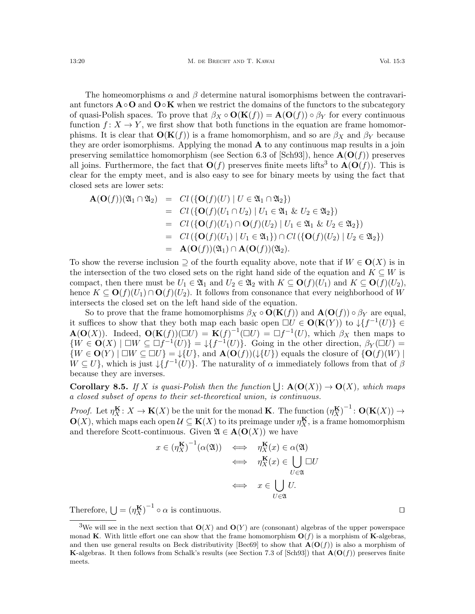The homeomorphisms  $\alpha$  and  $\beta$  determine natural isomorphisms between the contravariant functors  $\mathbf{A} \circ \mathbf{O}$  and  $\mathbf{O} \circ \mathbf{K}$  when we restrict the domains of the functors to the subcategory of quasi-Polish spaces. To prove that  $\beta_X \circ \mathbf{O}(\mathbf{K}(f)) = \mathbf{A}(\mathbf{O}(f)) \circ \beta_Y$  for every continuous function  $f: X \to Y$ , we first show that both functions in the equation are frame homomorphisms. It is clear that  $O(K(f))$  is a frame homomorphism, and so are  $\beta_X$  and  $\beta_Y$  because they are order isomorphisms. Applying the monad  $\bf{A}$  to any continuous map results in a join preserving semilattice homomorphism (see Section 6.3 of [\[Sch93\]](#page-24-8)), hence  $\mathbf{A}(\mathbf{O}(f))$  preserves all joins. Furthermore, the fact that  $O(f)$  preserves finite meets lifts<sup>[3](#page-19-0)</sup> to  $A(O(f))$ . This is clear for the empty meet, and is also easy to see for binary meets by using the fact that closed sets are lower sets:

$$
\begin{array}{rcl}\n\mathbf{A}(\mathbf{O}(f))(\mathfrak{A}_1 \cap \mathfrak{A}_2) & = & Cl\left(\{\mathbf{O}(f)(U) \mid U \in \mathfrak{A}_1 \cap \mathfrak{A}_2\}\right) \\
& = & Cl\left(\{\mathbf{O}(f)(U_1 \cap U_2) \mid U_1 \in \mathfrak{A}_1 \& U_2 \in \mathfrak{A}_2\}\right) \\
& = & Cl\left(\{\mathbf{O}(f)(U_1) \cap \mathbf{O}(f)(U_2) \mid U_1 \in \mathfrak{A}_1 \& U_2 \in \mathfrak{A}_2\}\right) \\
& = & Cl\left(\{\mathbf{O}(f)(U_1) \mid U_1 \in \mathfrak{A}_1\}\right) \cap Cl\left(\{\mathbf{O}(f)(U_2) \mid U_2 \in \mathfrak{A}_2\}\right) \\
& = & \mathbf{A}(\mathbf{O}(f))(\mathfrak{A}_1) \cap \mathbf{A}(\mathbf{O}(f))(\mathfrak{A}_2).\n\end{array}
$$

To show the reverse inclusion  $\supseteq$  of the fourth equality above, note that if  $W \in \mathbf{O}(X)$  is in the intersection of the two closed sets on the right hand side of the equation and  $K \subseteq W$  is compact, then there must be  $U_1 \in \mathfrak{A}_1$  and  $U_2 \in \mathfrak{A}_2$  with  $K \subseteq \mathbf{O}(f)(U_1)$  and  $K \subseteq \mathbf{O}(f)(U_2)$ , hence  $K \subseteq \mathbf{O}(f)(U_1) \cap \mathbf{O}(f)(U_2)$ . It follows from consonance that every neighborhood of W intersects the closed set on the left hand side of the equation.

So to prove that the frame homomorphisms  $\beta_X \circ \mathbf{O}(\mathbf{K}(f))$  and  $\mathbf{A}(\mathbf{O}(f)) \circ \beta_Y$  are equal, it suffices to show that they both map each basic open  $\Box U \in \mathbf{O}(\mathbf{K}(Y))$  to  $\downarrow \{f^{-1}(U)\} \in$  $\mathbf{A}(\mathbf{O}(X))$ . Indeed,  $\mathbf{O}(\mathbf{K}(f))(\Box U) = \mathbf{K}(f)^{-1}(\Box U) = \Box f^{-1}(U)$ , which  $\beta_X$  then maps to  $\{W \in \mathbf{O}(X) \mid \Box W \subseteq \Box f^{-1}(U)\} = \downarrow \{f^{-1}(U)\}.$  Going in the other direction,  $\beta_Y(\Box U) =$  $\{W \in \mathbf{O}(Y) \mid \Box W \subseteq \Box U\} = \{U\},\$ and  $\mathbf{A}(\mathbf{O}(f))(\downarrow \{U\})$  equals the closure of  $\{\mathbf{O}(f)(W)\}\$  $W \subseteq U$ , which is just  $\downarrow$  { $f^{-1}(U)$ }. The naturality of  $\alpha$  immediately follows from that of  $\beta$ because they are inverses.

**Corollary 8.5.** If X is quasi-Polish then the function  $\bigcup$ :  $\mathbf{A}(\mathbf{O}(X)) \to \mathbf{O}(X)$ , which maps a closed subset of opens to their set-theoretical union, is continuous.

*Proof.* Let  $\eta_X^{\mathbf{K}}: X \to \mathbf{K}(X)$  be the unit for the monad **K**. The function  $(\eta_X^{\mathbf{K}})^{-1}: \mathbf{O}(\mathbf{K}(X)) \to$  $\mathbf{O}(X)$ , which maps each open  $\mathcal{U} \subseteq \mathbf{K}(X)$  to its preimage under  $\eta_X^{\mathbf{K}}$ , is a frame homomorphism and therefore Scott-continuous. Given  $\mathfrak{A} \in \mathbf{A}(\mathbf{O}(X))$  we have

$$
x \in (\eta_X^{\mathbf{K}})^{-1}(\alpha(\mathfrak{A})) \iff \eta_X^{\mathbf{K}}(x) \in \alpha(\mathfrak{A})
$$
  

$$
\iff \eta_X^{\mathbf{K}}(x) \in \bigcup_{U \in \mathfrak{A}} \Box U
$$
  

$$
\iff x \in \bigcup_{U \in \mathfrak{A}} U.
$$

Therefore,  $\bigcup = (\eta_X^{\mathbf{K}})^{-1} \circ \alpha$  is continuous.

<span id="page-19-0"></span><sup>&</sup>lt;sup>3</sup>We will see in the next section that  $O(X)$  and  $O(Y)$  are (consonant) algebras of the upper powerspace monad K. With little effort one can show that the frame homomorphism  $O(f)$  is a morphism of K-algebras, and then use general results on Beck distributivity [\[Bec69\]](#page-23-1) to show that  $\mathbf{A}(\mathbf{O}(f))$  is also a morphism of **K**-algebras. It then follows from Schalk's results (see Section 7.3 of [\[Sch93\]](#page-24-8)) that  $\mathbf{A}(\mathbf{O}(f))$  preserves finite meets.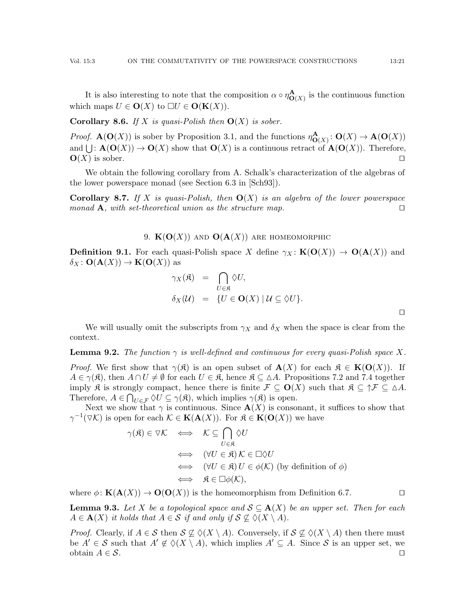It is also interesting to note that the composition  $\alpha \circ \eta_{\mathbf{O}(X)}^{\mathbf{A}}$  is the continuous function which maps  $U \in \mathbf{O}(X)$  to  $\Box U \in \mathbf{O}(\mathbf{K}(X)).$ 

<span id="page-20-2"></span>**Corollary 8.6.** If X is quasi-Polish then  $O(X)$  is sober.

*Proof.*  $\mathbf{A}(\mathbf{O}(X))$  is sober by Proposition [3.1,](#page-4-2) and the functions  $\eta_{\mathbf{O}(X)}^{\mathbf{A}}: \mathbf{O}(X) \to \mathbf{A}(\mathbf{O}(X))$ and  $\bigcup: \mathbf{A}(\mathbf{O}(X)) \to \mathbf{O}(X)$  show that  $\mathbf{O}(X)$  is a continuous retract of  $\mathbf{A}(\mathbf{O}(X))$ . Therefore,  $\mathbf{O}(X)$  is sober.

We obtain the following corollary from A. Schalk's characterization of the algebras of the lower powerspace monad (see Section 6.3 in [\[Sch93\]](#page-24-8)).

**Corollary 8.7.** If X is quasi-Polish, then  $O(X)$  is an algebra of the lower powerspace monad  $\mathbf{A}$ , with set-theoretical union as the structure map.  $\square$ 

9.  $K(O(X))$  AND  $O(A(X))$  ARE HOMEOMORPHIC

<span id="page-20-1"></span><span id="page-20-0"></span>**Definition 9.1.** For each quasi-Polish space X define  $\gamma_X : K(O(X)) \to O(A(X))$  and  $\delta_X$ :  $\mathbf{O}(\mathbf{A}(X)) \to \mathbf{K}(\mathbf{O}(X))$  as

$$
\gamma_X(\mathfrak{K}) = \bigcap_{U \in \mathfrak{K}} \Diamond U,
$$
  
\n
$$
\delta_X(\mathcal{U}) = \{U \in \mathbf{O}(X) \mid \mathcal{U} \subseteq \Diamond U\}.
$$

We will usually omit the subscripts from  $\gamma_X$  and  $\delta_X$  when the space is clear from the context.

<span id="page-20-4"></span>**Lemma 9.2.** The function  $\gamma$  is well-defined and continuous for every quasi-Polish space X.

*Proof.* We first show that  $\gamma(\mathfrak{K})$  is an open subset of  $\mathbf{A}(X)$  for each  $\mathfrak{K} \in \mathbf{K}(\mathbf{O}(X))$ . If  $A \in \gamma(\mathfrak{K})$ , then  $A \cap U \neq \emptyset$  for each  $U \in \mathfrak{K}$ , hence  $\mathfrak{K} \subseteq \Delta A$ . Propositions [7.2](#page-14-1) and [7.4](#page-15-0) together imply R is strongly compact, hence there is finite  $\mathcal{F} \subseteq \mathbf{O}(X)$  such that  $\mathfrak{K} \subseteq \mathcal{\uparrow} \mathcal{F} \subseteq \Delta A$ . Therefore,  $A \in \bigcap_{U \in \mathcal{F}} \Diamond U \subseteq \gamma(\mathfrak{K})$ , which implies  $\gamma(\mathfrak{K})$  is open.

Next we show that  $\gamma$  is continuous. Since  $\mathbf{A}(X)$  is consonant, it suffices to show that  $\gamma^{-1}(\triangledown \mathcal{K})$  is open for each  $\mathcal{K} \in \mathbf{K}(\mathbf{A}(X))$ . For  $\mathfrak{K} \in \mathbf{K}(\mathbf{O}(X))$  we have

$$
\gamma(\mathfrak{K}) \in \nabla \mathcal{K} \iff \mathcal{K} \subseteq \bigcap_{U \in \mathfrak{K}} \Diamond U
$$
  
\n
$$
\iff (\forall U \in \mathfrak{K}) \mathcal{K} \in \Box \Diamond U
$$
  
\n
$$
\iff (\forall U \in \mathfrak{K}) \mathcal{U} \in \phi(\mathcal{K}) \text{ (by definition of } \phi)
$$
  
\n
$$
\iff \mathfrak{K} \in \Box \phi(\mathcal{K}),
$$

where  $\phi: \mathbf{K}(\mathbf{A}(X)) \to \mathbf{O}(\mathbf{O}(X))$  is the homeomorphism from Definition [6.7.](#page-11-0)

<span id="page-20-3"></span>**Lemma 9.3.** Let X be a topological space and  $S \subseteq A(X)$  be an upper set. Then for each  $A \in \mathbf{A}(X)$  it holds that  $A \in \mathcal{S}$  if and only if  $\mathcal{S} \not\subset \Diamond(X \setminus A)$ .

*Proof.* Clearly, if  $A \in \mathcal{S}$  then  $\mathcal{S} \nsubseteq \Diamond(X \setminus A)$ . Conversely, if  $\mathcal{S} \nsubseteq \Diamond(X \setminus A)$  then there must be  $A' \in \mathcal{S}$  such that  $A' \notin \Diamond(X \setminus A)$ , which implies  $A' \subseteq A$ . Since  $\mathcal{S}$  is an upper set, we obtain  $A \in \mathcal{S}$ .

 $\Box$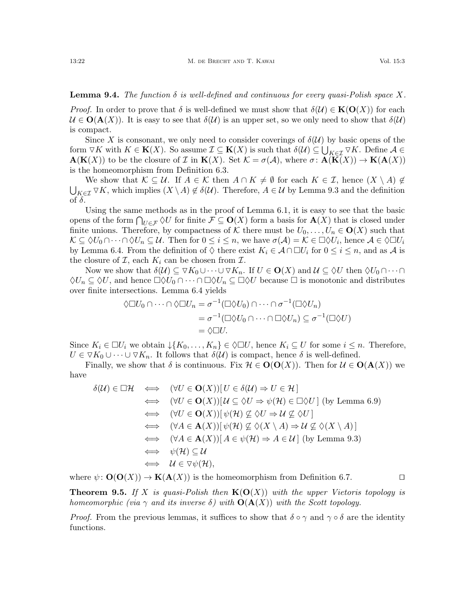<span id="page-21-1"></span>**Lemma 9.4.** The function  $\delta$  is well-defined and continuous for every quasi-Polish space X.

*Proof.* In order to prove that  $\delta$  is well-defined we must show that  $\delta(\mathcal{U}) \in \mathbf{K}(\mathbf{O}(X))$  for each  $\mathcal{U} \in \mathbf{O}(\mathbf{A}(X))$ . It is easy to see that  $\delta(\mathcal{U})$  is an upper set, so we only need to show that  $\delta(\mathcal{U})$ is compact.

Since X is consonant, we only need to consider coverings of  $\delta(\mathcal{U})$  by basic opens of the form  $\triangledown K$  with  $K \in \mathbf{K}(X)$ . So assume  $\mathcal{I} \subseteq \mathbf{K}(X)$  is such that  $\delta(\mathcal{U}) \subseteq \bigcup_{K \in \mathcal{I}} \triangledown K$ . Define  $\mathcal{A} \in$  $\mathbf{A}(\mathbf{K}(X))$  to be the closure of I in  $\mathbf{K}(X)$ . Set  $\mathcal{K} = \sigma(\mathcal{A})$ , where  $\sigma \colon \mathbf{A}(\mathbf{K}(X)) \to \mathbf{K}(\mathbf{A}(X))$ is the homeomorphism from Definition [6.3.](#page-10-0)

We show that  $K \subseteq U$ . If  $A \in \mathcal{K}$  then  $A \cap K \neq \emptyset$  for each  $K \in \mathcal{I}$ , hence  $(X \setminus A) \notin$  $\bigcup_{K\in\mathcal{I}} \nabla K$ , which implies  $(X\setminus A)\notin\delta(\mathcal{U})$ . Therefore,  $A\in\mathcal{U}$  by Lemma [9.3](#page-20-3) and the definition of  $\delta$ .

Using the same methods as in the proof of Lemma [6.1,](#page-9-3) it is easy to see that the basic opens of the form  $\bigcap_{U\in\mathcal{F}}\Diamond U$  for finite  $\mathcal{F}\subseteq\mathbf{O}(X)$  form a basis for  $\mathbf{A}(X)$  that is closed under finite unions. Therefore, by compactness of K there must be  $U_0, \ldots, U_n \in \mathbf{O}(X)$  such that  $\mathcal{K} \subseteq \Diamond U_0 \cap \cdots \cap \Diamond U_n \subseteq \mathcal{U}$ . Then for  $0 \leq i \leq n$ , we have  $\sigma(\mathcal{A}) = \mathcal{K} \in \Box \Diamond U_i$ , hence  $\mathcal{A} \in \Diamond \Box U_i$ by Lemma [6.4.](#page-10-1) From the definition of  $\Diamond$  there exist  $K_i \in \mathcal{A} \cap \Box U_i$  for  $0 \leq i \leq n$ , and as  $\mathcal{A}$  is the closure of  $\mathcal{I}$ , each  $K_i$  can be chosen from  $\mathcal{I}$ .

Now we show that  $\delta(\mathcal{U}) \subseteq \nabla K_0 \cup \cdots \cup \nabla K_n$ . If  $U \in \mathbf{O}(X)$  and  $\mathcal{U} \subseteq \Diamond U$  then  $\Diamond U_0 \cap \cdots \cap$  $\Diamond U_n \subseteq \Diamond U$ , and hence  $\Box \Diamond U_0 \cap \cdots \cap \Box \Diamond U_n \subseteq \Box \Diamond U$  because  $\Box$  is monotonic and distributes over finite intersections. Lemma [6.4](#page-10-1) yields

$$
\Diamond \Box U_0 \cap \cdots \cap \Diamond \Box U_n = \sigma^{-1}(\Box \Diamond U_0) \cap \cdots \cap \sigma^{-1}(\Box \Diamond U_n)
$$
  
=  $\sigma^{-1}(\Box \Diamond U_0 \cap \cdots \cap \Box \Diamond U_n) \subseteq \sigma^{-1}(\Box \Diamond U)$   
=  $\Diamond \Box U.$ 

Since  $K_i \in \Box U_i$  we obtain  $\downarrow \{K_0, \ldots, K_n\} \in \Diamond \Box U$ , hence  $K_i \subseteq U$  for some  $i \leq n$ . Therefore,  $U \in \nabla K_0 \cup \cdots \cup \nabla K_n$ . It follows that  $\delta(\mathcal{U})$  is compact, hence  $\delta$  is well-defined.

Finally, we show that  $\delta$  is continuous. Fix  $\mathcal{H} \in \mathbf{O}(\mathbf{O}(X))$ . Then for  $\mathcal{U} \in \mathbf{O}(\mathbf{A}(X))$  we have

$$
\delta(\mathcal{U}) \in \Box \mathcal{H} \iff (\forall U \in \mathbf{O}(X))[U \in \delta(\mathcal{U}) \Rightarrow U \in \mathcal{H}]
$$
  
\n
$$
\iff (\forall U \in \mathbf{O}(X))[U \subseteq \Diamond U \Rightarrow \psi(\mathcal{H}) \in \Box \Diamond U] \text{ (by Lemma 6.9)}
$$
  
\n
$$
\iff (\forall U \in \mathbf{O}(X))[ \psi(\mathcal{H}) \not\subseteq \Diamond U \Rightarrow \mathcal{U} \not\subseteq \Diamond U]
$$
  
\n
$$
\iff (\forall A \in \mathbf{A}(X))[ \psi(\mathcal{H}) \not\subseteq \Diamond (X \setminus A) \Rightarrow \mathcal{U} \not\subseteq \Diamond (X \setminus A)]
$$
  
\n
$$
\iff (\forall A \in \mathbf{A}(X))[ A \in \psi(\mathcal{H}) \Rightarrow A \in \mathcal{U}] \text{ (by Lemma 9.3)}
$$
  
\n
$$
\iff \psi(\mathcal{H}) \subseteq \mathcal{U}
$$
  
\n
$$
\iff \mathcal{U} \in \nabla \psi(\mathcal{H}),
$$

where  $\psi: \mathbf{O}(\mathbf{O}(X)) \to \mathbf{K}(\mathbf{A}(X))$  is the homeomorphism from Definition [6.7.](#page-11-0)

<span id="page-21-0"></span>**Theorem 9.5.** If X is quasi-Polish then  $K(\mathbf{O}(X))$  with the upper Vietoris topology is homeomorphic (via  $\gamma$  and its inverse  $\delta$ ) with  $\mathbf{O}(\mathbf{A}(X))$  with the Scott topology.

*Proof.* From the previous lemmas, it suffices to show that  $\delta \circ \gamma$  and  $\gamma \circ \delta$  are the identity functions.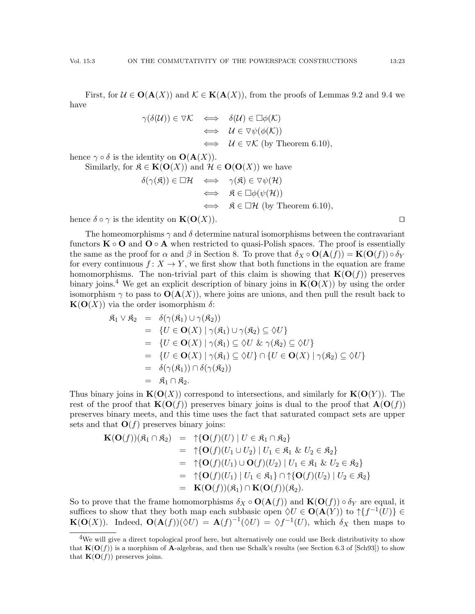First, for  $\mathcal{U} \in \mathbf{O}(\mathbf{A}(X))$  and  $\mathcal{K} \in \mathbf{K}(\mathbf{A}(X))$ , from the proofs of Lemmas [9.2](#page-20-4) and [9.4](#page-21-1) we have

$$
\gamma(\delta(\mathcal{U})) \in \nabla \mathcal{K} \iff \delta(\mathcal{U}) \in \Box \phi(\mathcal{K})
$$
  
\n
$$
\iff \mathcal{U} \in \nabla \psi(\phi(\mathcal{K}))
$$
  
\n
$$
\iff \mathcal{U} \in \nabla \mathcal{K} \text{ (by Theorem 6.10)},
$$

hence  $\gamma \circ \delta$  is the identity on  $\mathbf{O}(\mathbf{A}(X)).$ 

Similarly, for  $\mathfrak{K} \in \mathbf{K}(\mathbf{O}(X))$  and  $\mathcal{H} \in \mathbf{O}(\mathbf{O}(X))$  we have

$$
\delta(\gamma(\mathfrak{K})) \in \Box \mathcal{H} \iff \gamma(\mathfrak{K}) \in \nabla \psi(\mathcal{H})
$$
  
\n
$$
\iff \mathfrak{K} \in \Box \phi(\psi(\mathcal{H}))
$$
  
\n
$$
\iff \mathfrak{K} \in \Box \mathcal{H} \text{ (by Theorem 6.10)},
$$

hence  $\delta \circ \gamma$  is the identity on  $\mathbf{K}(\mathbf{O}(X))$ .

The homeomorphisms  $\gamma$  and  $\delta$  determine natural isomorphisms between the contravariant functors  $\mathbf{K} \circ \mathbf{O}$  and  $\mathbf{O} \circ \mathbf{A}$  when restricted to quasi-Polish spaces. The proof is essentially the same as the proof for  $\alpha$  and  $\beta$  in Section [8.](#page-17-0) To prove that  $\delta_X \circ \mathbf{O}(\mathbf{A}(f)) = \mathbf{K}(\mathbf{O}(f)) \circ \delta_Y$ for every continuous  $f: X \to Y$ , we first show that both functions in the equation are frame homomorphisms. The non-trivial part of this claim is showing that  $\mathbf{K}(\mathbf{O}(f))$  preserves binary joins.<sup>[4](#page-22-0)</sup> We get an explicit description of binary joins in  $K(O(X))$  by using the order isomorphism  $\gamma$  to pass to  $\mathbf{O}(\mathbf{A}(X))$ , where joins are unions, and then pull the result back to  ${\bf K}({\bf O}(X))$  via the order isomorphism  $\delta$ :

$$
\begin{array}{rcl}\n\mathfrak{K}_1 \vee \mathfrak{K}_2 & = & \delta(\gamma(\mathfrak{K}_1) \cup \gamma(\mathfrak{K}_2)) \\
& = & \{U \in \mathbf{O}(X) \mid \gamma(\mathfrak{K}_1) \cup \gamma(\mathfrak{K}_2) \subseteq \Diamond U\} \\
& = & \{U \in \mathbf{O}(X) \mid \gamma(\mathfrak{K}_1) \subseteq \Diamond U \& \gamma(\mathfrak{K}_2) \subseteq \Diamond U\} \\
& = & \{U \in \mathbf{O}(X) \mid \gamma(\mathfrak{K}_1) \subseteq \Diamond U\} \cap \{U \in \mathbf{O}(X) \mid \gamma(\mathfrak{K}_2) \subseteq \Diamond U\} \\
& = & \delta(\gamma(\mathfrak{K}_1)) \cap \delta(\gamma(\mathfrak{K}_2)) \\
& = & \mathfrak{K}_1 \cap \mathfrak{K}_2.\n\end{array}
$$

Thus binary joins in  $\mathbf{K}(\mathbf{O}(X))$  correspond to intersections, and similarly for  $\mathbf{K}(\mathbf{O}(Y))$ . The rest of the proof that  $\mathbf{K}(\mathbf{O}(f))$  preserves binary joins is dual to the proof that  $\mathbf{A}(\mathbf{O}(f))$ preserves binary meets, and this time uses the fact that saturated compact sets are upper sets and that  $O(f)$  preserves binary joins:

$$
\begin{array}{rcl}\n\mathbf{K}(\mathbf{O}(f))(\mathfrak{K}_1 \cap \mathfrak{K}_2) & = & \uparrow \{ \mathbf{O}(f)(U) \mid U \in \mathfrak{K}_1 \cap \mathfrak{K}_2 \} \\
& = & \uparrow \{ \mathbf{O}(f)(U_1 \cup U_2) \mid U_1 \in \mathfrak{K}_1 \ \& U_2 \in \mathfrak{K}_2 \} \\
& = & \uparrow \{ \mathbf{O}(f)(U_1) \cup \mathbf{O}(f)(U_2) \mid U_1 \in \mathfrak{K}_1 \ \& U_2 \in \mathfrak{K}_2 \} \\
& = & \uparrow \{ \mathbf{O}(f)(U_1) \mid U_1 \in \mathfrak{K}_1 \} \cap \uparrow \{ \mathbf{O}(f)(U_2) \mid U_2 \in \mathfrak{K}_2 \} \\
& = & \mathbf{K}(\mathbf{O}(f))(\mathfrak{K}_1) \cap \mathbf{K}(\mathbf{O}(f))(\mathfrak{K}_2).\n\end{array}
$$

So to prove that the frame homomorphisms  $\delta_X \circ O(\mathbf{A}(f))$  and  $\mathbf{K}(\mathbf{O}(f)) \circ \delta_Y$  are equal, it suffices to show that they both map each subbasic open  $\Diamond U \in O(\mathbf{A}(Y))$  to  $\uparrow \{f^{-1}(U)\} \in$  $\mathbf{K}(\mathbf{O}(X))$ . Indeed,  $\mathbf{O}(\mathbf{A}(f))(\Diamond U) = \mathbf{A}(f)^{-1}(\Diamond U) = \Diamond f^{-1}(U)$ , which  $\delta_X$  then maps to

<span id="page-22-0"></span><sup>&</sup>lt;sup>4</sup>We will give a direct topological proof here, but alternatively one could use Beck distributivity to show that  $\mathbf{K}(\mathbf{O}(f))$  is a morphism of A-algebras, and then use Schalk's results (see Section 6.3 of [\[Sch93\]](#page-24-8)) to show that  $\mathbf{K}(\mathbf{O}(f))$  preserves joins.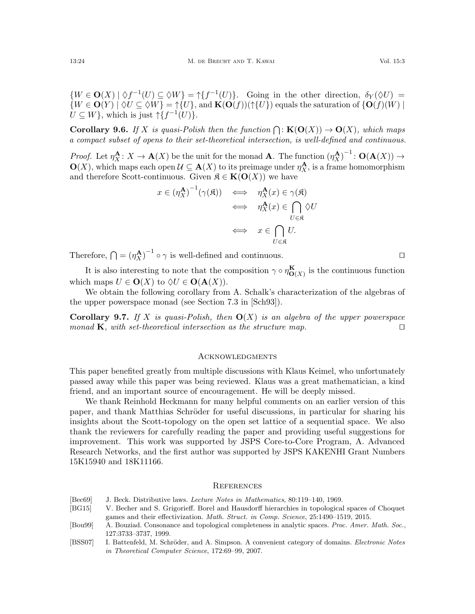$\{W \in \mathbf{O}(X) \mid \Diamond f^{-1}(U) \subseteq \Diamond W\} = \dag\{f^{-1}(U)\}.$  Going in the other direction,  $\delta_Y(\Diamond U) =$  ${W \in \mathbf{O}(Y) \mid \Diamond U \subseteq \Diamond W} = \uparrow{U}, \text{ and } \mathbf{K}(\mathbf{O}(f))(\uparrow{U})$  equals the saturation of  ${\mathbf{O}(f)(W) \mid \Diamond U}$  $U \subseteq W$ , which is just  $\uparrow \{f^{-1}(U)\}.$ 

<span id="page-23-3"></span>**Corollary 9.6.** If X is quasi-Polish then the function  $\bigcap$ :  $\mathbf{K}(\mathbf{O}(X)) \to \mathbf{O}(X)$ , which maps a compact subset of opens to their set-theoretical intersection, is well-defined and continuous.

*Proof.* Let  $\eta_X^{\mathbf{A}}: X \to \mathbf{A}(X)$  be the unit for the monad **A**. The function  $(\eta_X^{\mathbf{A}})^{-1}: \mathbf{O}(\mathbf{A}(X)) \to$  $\mathbf{O}(X)$ , which maps each open  $\mathcal{U} \subseteq \mathbf{A}(X)$  to its preimage under  $\eta_X^{\mathbf{A}}$ , is a frame homomorphism and therefore Scott-continuous. Given  $\mathfrak{K} \in \mathbf{K}(\mathbf{O}(X))$  we have

$$
x \in (\eta_X^{\mathbf{A}})^{-1}(\gamma(\mathfrak{K})) \iff \eta_X^{\mathbf{A}}(x) \in \gamma(\mathfrak{K})
$$
  

$$
\iff \eta_X^{\mathbf{A}}(x) \in \bigcap_{U \in \mathfrak{K}} \Diamond U
$$
  

$$
\iff x \in \bigcap_{U \in \mathfrak{K}} U.
$$

Therefore,  $\bigcap = (\eta_X^{\mathbf{A}})^{-1} \circ \gamma$  is well-defined and continuous.

It is also interesting to note that the composition  $\gamma \circ \eta_{\mathbf{O}(X)}^{\mathbf{K}}$  is the continuous function which maps  $U \in \mathbf{O}(X)$  to  $\Diamond U \in \mathbf{O}(\mathbf{A}(X)).$ 

We obtain the following corollary from A. Schalk's characterization of the algebras of the upper powerspace monad (see Section 7.3 in [\[Sch93\]](#page-24-8)).

**Corollary 9.7.** If X is quasi-Polish, then  $O(X)$  is an algebra of the upper powerspace monad **K**, with set-theoretical intersection as the structure map.  $\Box$ 

# **ACKNOWLEDGMENTS**

This paper benefited greatly from multiple discussions with Klaus Keimel, who unfortunately passed away while this paper was being reviewed. Klaus was a great mathematician, a kind friend, and an important source of encouragement. He will be deeply missed.

We thank Reinhold Heckmann for many helpful comments on an earlier version of this paper, and thank Matthias Schröder for useful discussions, in particular for sharing his insights about the Scott-topology on the open set lattice of a sequential space. We also thank the reviewers for carefully reading the paper and providing useful suggestions for improvement. This work was supported by JSPS Core-to-Core Program, A. Advanced Research Networks, and the first author was supported by JSPS KAKENHI Grant Numbers 15K15940 and 18K11166.

#### **REFERENCES**

- <span id="page-23-1"></span>[Bec69] J. Beck. Distributive laws. Lecture Notes in Mathematics, 80:119–140, 1969.
- <span id="page-23-2"></span>[BG15] V. Becher and S. Grigorieff. Borel and Hausdorff hierarchies in topological spaces of Choquet games and their effectivization. Math. Struct. in Comp. Science, 25:1490–1519, 2015.
- <span id="page-23-0"></span>[Bou99] A. Bouziad. Consonance and topological completeness in analytic spaces. Proc. Amer. Math. Soc., 127:3733–3737, 1999.
- <span id="page-23-4"></span>[BSS07] I. Battenfeld, M. Schröder, and A. Simpson. A convenient category of domains. Electronic Notes in Theoretical Computer Science, 172:69–99, 2007.